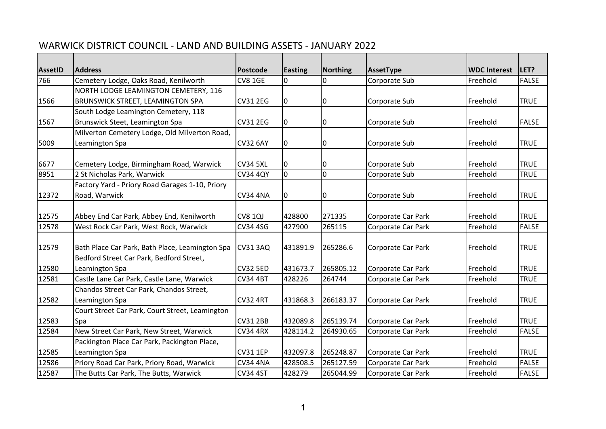## WARWICK DISTRICT COUNCIL - LAND AND BUILDING ASSETS - JANUARY 2022

| AssetID | <b>Address</b>                                  | Postcode        | Easting     | Northing       | AssetType          | <b>WDC Interest</b> | LET?         |
|---------|-------------------------------------------------|-----------------|-------------|----------------|--------------------|---------------------|--------------|
| 766     | Cemetery Lodge, Oaks Road, Kenilworth           | <b>CV8 1GE</b>  | 10          | 0              | Corporate Sub      | Freehold            | <b>FALSE</b> |
|         | NORTH LODGE LEAMINGTON CEMETERY, 116            |                 |             |                |                    |                     |              |
| 1566    | <b>BRUNSWICK STREET, LEAMINGTON SPA</b>         | <b>CV31 2EG</b> | $ 0\rangle$ | 0              | Corporate Sub      | Freehold            | <b>TRUE</b>  |
|         | South Lodge Leamington Cemetery, 118            |                 |             |                |                    |                     |              |
| 1567    | Brunswick Steet, Leamington Spa                 | <b>CV31 2EG</b> | $ 0\rangle$ | 0              | Corporate Sub      | Freehold            | <b>FALSE</b> |
|         | Milverton Cemetery Lodge, Old Milverton Road,   |                 |             |                |                    |                     |              |
| 5009    | Leamington Spa                                  | <b>CV32 6AY</b> | $ 0\rangle$ | 0              | Corporate Sub      | Freehold            | <b>TRUE</b>  |
|         |                                                 |                 |             |                |                    |                     |              |
| 6677    | Cemetery Lodge, Birmingham Road, Warwick        | <b>CV34 5XL</b> | 10          | 0              | Corporate Sub      | Freehold            | <b>TRUE</b>  |
| 8951    | 2 St Nicholas Park, Warwick                     | <b>CV34 4QY</b> | Iо          | $\overline{0}$ | Corporate Sub      | Freehold            | <b>TRUE</b>  |
|         | Factory Yard - Priory Road Garages 1-10, Priory |                 |             |                |                    |                     |              |
| 12372   | Road, Warwick                                   | <b>CV34 4NA</b> | $ 0\rangle$ | $\pmb{0}$      | Corporate Sub      | Freehold            | <b>TRUE</b>  |
|         |                                                 |                 |             |                |                    |                     |              |
| 12575   | Abbey End Car Park, Abbey End, Kenilworth       | <b>CV8 1QJ</b>  | 428800      | 271335         | Corporate Car Park | Freehold            | <b>TRUE</b>  |
| 12578   | West Rock Car Park, West Rock, Warwick          | <b>CV34 4SG</b> | 427900      | 265115         | Corporate Car Park | Freehold            | <b>FALSE</b> |
|         |                                                 |                 |             |                |                    |                     |              |
| 12579   | Bath Place Car Park, Bath Place, Leamington Spa | <b>CV31 3AQ</b> | 431891.9    | 265286.6       | Corporate Car Park | Freehold            | <b>TRUE</b>  |
|         | Bedford Street Car Park, Bedford Street,        |                 |             |                |                    |                     |              |
| 12580   | Leamington Spa                                  | <b>CV32 5ED</b> | 431673.7    | 265805.12      | Corporate Car Park | Freehold            | <b>TRUE</b>  |
| 12581   | Castle Lane Car Park, Castle Lane, Warwick      | <b>CV34 4BT</b> | 428226      | 264744         | Corporate Car Park | Freehold            | <b>TRUE</b>  |
|         | Chandos Street Car Park, Chandos Street,        |                 |             |                |                    |                     |              |
| 12582   | Leamington Spa                                  | <b>CV32 4RT</b> | 431868.3    | 266183.37      | Corporate Car Park | Freehold            | <b>TRUE</b>  |
|         | Court Street Car Park, Court Street, Leamington |                 |             |                |                    |                     |              |
| 12583   | Spa                                             | <b>CV31 2BB</b> | 432089.8    | 265139.74      | Corporate Car Park | Freehold            | <b>TRUE</b>  |
| 12584   | New Street Car Park, New Street, Warwick        | <b>CV34 4RX</b> | 428114.2    | 264930.65      | Corporate Car Park | Freehold            | <b>FALSE</b> |
|         | Packington Place Car Park, Packington Place,    |                 |             |                |                    |                     |              |
| 12585   | Leamington Spa                                  | <b>CV31 1EP</b> | 432097.8    | 265248.87      | Corporate Car Park | Freehold            | <b>TRUE</b>  |
| 12586   | Priory Road Car Park, Priory Road, Warwick      | <b>CV34 4NA</b> | 428508.5    | 265127.59      | Corporate Car Park | Freehold            | <b>FALSE</b> |
| 12587   | The Butts Car Park, The Butts, Warwick          | <b>CV34 4ST</b> | 428279      | 265044.99      | Corporate Car Park | Freehold            | <b>FALSE</b> |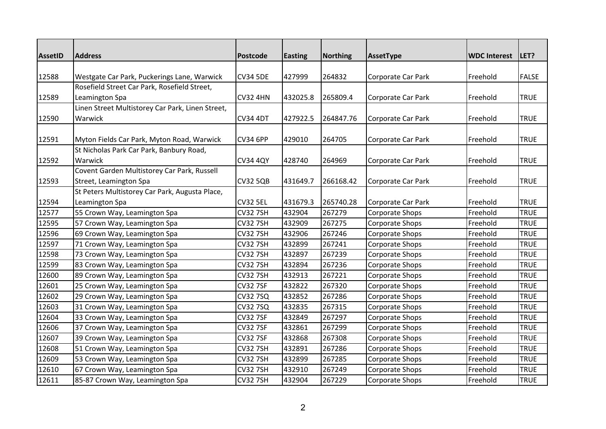| <b>AssetID</b> | <b>Address</b>                                   | <b>Postcode</b> | <b>Easting</b> | <b>Northing</b> | AssetType          | <b>WDC Interest</b> | LET?         |
|----------------|--------------------------------------------------|-----------------|----------------|-----------------|--------------------|---------------------|--------------|
|                |                                                  |                 |                |                 |                    |                     |              |
| 12588          | Westgate Car Park, Puckerings Lane, Warwick      | <b>CV34 5DE</b> | 427999         | 264832          | Corporate Car Park | Freehold            | <b>FALSE</b> |
|                | Rosefield Street Car Park, Rosefield Street,     |                 |                |                 |                    |                     |              |
| 12589          | Leamington Spa                                   | <b>CV32 4HN</b> | 432025.8       | 265809.4        | Corporate Car Park | Freehold            | <b>TRUE</b>  |
|                | Linen Street Multistorey Car Park, Linen Street, |                 |                |                 |                    |                     |              |
| 12590          | Warwick                                          | <b>CV34 4DT</b> | 427922.5       | 264847.76       | Corporate Car Park | Freehold            | <b>TRUE</b>  |
|                |                                                  |                 |                |                 |                    |                     |              |
| 12591          | Myton Fields Car Park, Myton Road, Warwick       | <b>CV34 6PP</b> | 429010         | 264705          | Corporate Car Park | Freehold            | <b>TRUE</b>  |
|                | St Nicholas Park Car Park, Banbury Road,         |                 |                |                 |                    |                     |              |
| 12592          | Warwick                                          | <b>CV34 4QY</b> | 428740         | 264969          | Corporate Car Park | Freehold            | <b>TRUE</b>  |
|                | Covent Garden Multistorey Car Park, Russell      |                 |                |                 |                    |                     |              |
| 12593          | Street, Leamington Spa                           | <b>CV32 5QB</b> | 431649.7       | 266168.42       | Corporate Car Park | Freehold            | <b>TRUE</b>  |
|                | St Peters Multistorey Car Park, Augusta Place,   |                 |                |                 |                    |                     |              |
| 12594          | Leamington Spa                                   | <b>CV32 5EL</b> | 431679.3       | 265740.28       | Corporate Car Park | Freehold            | <b>TRUE</b>  |
| 12577          | 55 Crown Way, Leamington Spa                     | <b>CV32 7SH</b> | 432904         | 267279          | Corporate Shops    | Freehold            | <b>TRUE</b>  |
| 12595          | 57 Crown Way, Leamington Spa                     | <b>CV32 7SH</b> | 432909         | 267275          | Corporate Shops    | Freehold            | <b>TRUE</b>  |
| 12596          | 69 Crown Way, Leamington Spa                     | <b>CV32 7SH</b> | 432906         | 267246          | Corporate Shops    | Freehold            | <b>TRUE</b>  |
| 12597          | 71 Crown Way, Leamington Spa                     | <b>CV32 7SH</b> | 432899         | 267241          | Corporate Shops    | Freehold            | <b>TRUE</b>  |
| 12598          | 73 Crown Way, Leamington Spa                     | <b>CV32 7SH</b> | 432897         | 267239          | Corporate Shops    | Freehold            | <b>TRUE</b>  |
| 12599          | 83 Crown Way, Leamington Spa                     | <b>CV32 7SH</b> | 432894         | 267236          | Corporate Shops    | Freehold            | <b>TRUE</b>  |
| 12600          | 89 Crown Way, Leamington Spa                     | <b>CV32 7SH</b> | 432913         | 267221          | Corporate Shops    | Freehold            | <b>TRUE</b>  |
| 12601          | 25 Crown Way, Leamington Spa                     | <b>CV32 7SF</b> | 432822         | 267320          | Corporate Shops    | Freehold            | <b>TRUE</b>  |
| 12602          | 29 Crown Way, Leamington Spa                     | <b>CV32 7SQ</b> | 432852         | 267286          | Corporate Shops    | Freehold            | <b>TRUE</b>  |
| 12603          | 31 Crown Way, Leamington Spa                     | <b>CV32 7SQ</b> | 432835         | 267315          | Corporate Shops    | Freehold            | <b>TRUE</b>  |
| 12604          | 33 Crown Way, Leamington Spa                     | <b>CV32 7SF</b> | 432849         | 267297          | Corporate Shops    | Freehold            | <b>TRUE</b>  |
| 12606          | 37 Crown Way, Leamington Spa                     | <b>CV32 7SF</b> | 432861         | 267299          | Corporate Shops    | Freehold            | <b>TRUE</b>  |
| 12607          | 39 Crown Way, Leamington Spa                     | <b>CV32 7SF</b> | 432868         | 267308          | Corporate Shops    | Freehold            | <b>TRUE</b>  |
| 12608          | 51 Crown Way, Leamington Spa                     | <b>CV32 7SH</b> | 432891         | 267286          | Corporate Shops    | Freehold            | <b>TRUE</b>  |
| 12609          | 53 Crown Way, Leamington Spa                     | <b>CV32 7SH</b> | 432899         | 267285          | Corporate Shops    | Freehold            | <b>TRUE</b>  |
| 12610          | 67 Crown Way, Leamington Spa                     | <b>CV32 7SH</b> | 432910         | 267249          | Corporate Shops    | Freehold            | <b>TRUE</b>  |
| 12611          | 85-87 Crown Way, Leamington Spa                  | <b>CV32 7SH</b> | 432904         | 267229          | Corporate Shops    | Freehold            | <b>TRUE</b>  |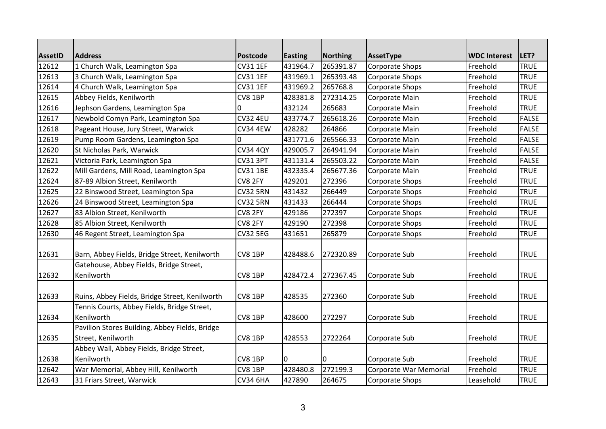| <b>AssetID</b> | <b>Address</b>                                 | <b>Postcode</b> | <b>Easting</b> | <b>Northing</b> | AssetType              | <b>WDC Interest</b> | LET?         |
|----------------|------------------------------------------------|-----------------|----------------|-----------------|------------------------|---------------------|--------------|
| 12612          | 1 Church Walk, Leamington Spa                  | <b>CV31 1EF</b> | 431964.7       | 265391.87       | Corporate Shops        | Freehold            | <b>TRUE</b>  |
| 12613          | 3 Church Walk, Leamington Spa                  | <b>CV31 1EF</b> | 431969.1       | 265393.48       | Corporate Shops        | Freehold            | <b>TRUE</b>  |
| 12614          | 4 Church Walk, Leamington Spa                  | <b>CV31 1EF</b> | 431969.2       | 265768.8        | Corporate Shops        | Freehold            | <b>TRUE</b>  |
| 12615          | Abbey Fields, Kenilworth                       | CV8 1BP         | 428381.8       | 272314.25       | Corporate Main         | Freehold            | <b>TRUE</b>  |
| 12616          | Jephson Gardens, Leamington Spa                | 0               | 432124         | 265683          | Corporate Main         | Freehold            | <b>TRUE</b>  |
| 12617          | Newbold Comyn Park, Leamington Spa             | <b>CV32 4EU</b> | 433774.7       | 265618.26       | Corporate Main         | Freehold            | <b>FALSE</b> |
| 12618          | Pageant House, Jury Street, Warwick            | <b>CV34 4EW</b> | 428282         | 264866          | Corporate Main         | Freehold            | <b>FALSE</b> |
| 12619          | Pump Room Gardens, Leamington Spa              | $\Omega$        | 431771.6       | 265566.33       | Corporate Main         | Freehold            | <b>FALSE</b> |
| 12620          | St Nicholas Park, Warwick                      | <b>CV34 4QY</b> | 429005.7       | 264941.94       | Corporate Main         | Freehold            | <b>FALSE</b> |
| 12621          | Victoria Park, Leamington Spa                  | <b>CV31 3PT</b> | 431131.4       | 265503.22       | Corporate Main         | Freehold            | <b>FALSE</b> |
| 12622          | Mill Gardens, Mill Road, Leamington Spa        | <b>CV31 1BE</b> | 432335.4       | 265677.36       | Corporate Main         | Freehold            | <b>TRUE</b>  |
| 12624          | 87-89 Albion Street, Kenilworth                | CV8 2FY         | 429201         | 272396          | Corporate Shops        | Freehold            | <b>TRUE</b>  |
| 12625          | 22 Binswood Street, Leamington Spa             | <b>CV32 5RN</b> | 431432         | 266449          | Corporate Shops        | Freehold            | <b>TRUE</b>  |
| 12626          | 24 Binswood Street, Leamington Spa             | <b>CV32 5RN</b> | 431433         | 266444          | Corporate Shops        | Freehold            | <b>TRUE</b>  |
| 12627          | 83 Albion Street, Kenilworth                   | CV8 2FY         | 429186         | 272397          | Corporate Shops        | Freehold            | <b>TRUE</b>  |
| 12628          | 85 Albion Street, Kenilworth                   | CV8 2FY         | 429190         | 272398          | Corporate Shops        | Freehold            | <b>TRUE</b>  |
| 12630          | 46 Regent Street, Leamington Spa               | <b>CV32 5EG</b> | 431651         | 265879          | Corporate Shops        | Freehold            | <b>TRUE</b>  |
|                |                                                |                 |                |                 |                        |                     |              |
| 12631          | Barn, Abbey Fields, Bridge Street, Kenilworth  | CV8 1BP         | 428488.6       | 272320.89       | Corporate Sub          | Freehold            | <b>TRUE</b>  |
|                | Gatehouse, Abbey Fields, Bridge Street,        |                 |                |                 |                        |                     |              |
| 12632          | Kenilworth                                     | CV8 1BP         | 428472.4       | 272367.45       | Corporate Sub          | Freehold            | <b>TRUE</b>  |
|                |                                                |                 |                |                 |                        |                     |              |
| 12633          | Ruins, Abbey Fields, Bridge Street, Kenilworth | CV8 1BP         | 428535         | 272360          | Corporate Sub          | Freehold            | <b>TRUE</b>  |
|                | Tennis Courts, Abbey Fields, Bridge Street,    |                 |                |                 |                        |                     |              |
| 12634          | Kenilworth                                     | CV8 1BP         | 428600         | 272297          | Corporate Sub          | Freehold            | <b>TRUE</b>  |
|                | Pavilion Stores Building, Abbey Fields, Bridge |                 |                |                 |                        |                     |              |
| 12635          | Street, Kenilworth                             | CV8 1BP         | 428553         | 2722264         | Corporate Sub          | Freehold            | <b>TRUE</b>  |
|                | Abbey Wall, Abbey Fields, Bridge Street,       |                 |                |                 |                        |                     |              |
| 12638          | Kenilworth                                     | CV8 1BP         | I0             | 0               | Corporate Sub          | Freehold            | <b>TRUE</b>  |
| 12642          | War Memorial, Abbey Hill, Kenilworth           | CV8 1BP         | 428480.8       | 272199.3        | Corporate War Memorial | Freehold            | <b>TRUE</b>  |
| 12643          | 31 Friars Street, Warwick                      | <b>CV34 6HA</b> | 427890         | 264675          | Corporate Shops        | Leasehold           | <b>TRUE</b>  |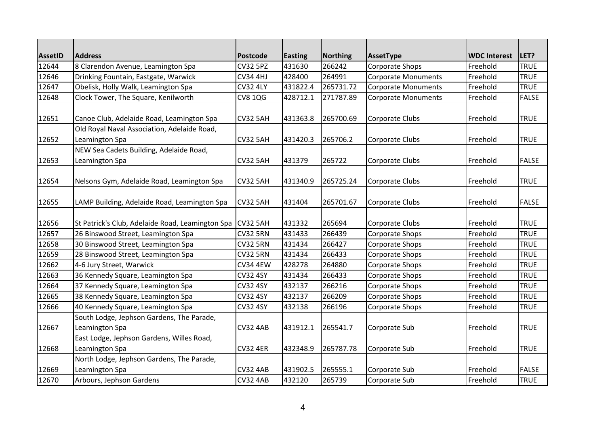| <b>AssetID</b> | <b>Address</b>                                   | <b>Postcode</b> | <b>Easting</b> | <b>Northing</b> | AssetType                  | <b>WDC Interest</b> | LET?         |
|----------------|--------------------------------------------------|-----------------|----------------|-----------------|----------------------------|---------------------|--------------|
| 12644          | 8 Clarendon Avenue, Leamington Spa               | <b>CV32 5PZ</b> | 431630         | 266242          | Corporate Shops            | Freehold            | <b>TRUE</b>  |
| 12646          | Drinking Fountain, Eastgate, Warwick             | <b>CV34 4HJ</b> | 428400         | 264991          | Corporate Monuments        | Freehold            | <b>TRUE</b>  |
| 12647          | Obelisk, Holly Walk, Leamington Spa              | <b>CV32 4LY</b> | 431822.4       | 265731.72       | <b>Corporate Monuments</b> | Freehold            | <b>TRUE</b>  |
| 12648          | Clock Tower, The Square, Kenilworth              | <b>CV8 1QG</b>  | 428712.1       | 271787.89       | <b>Corporate Monuments</b> | Freehold            | FALSE        |
| 12651          | Canoe Club, Adelaide Road, Leamington Spa        | <b>CV32 5AH</b> | 431363.8       | 265700.69       | Corporate Clubs            | Freehold            | <b>TRUE</b>  |
|                | Old Royal Naval Association, Adelaide Road,      |                 |                |                 |                            |                     |              |
| 12652          | Leamington Spa                                   | <b>CV32 5AH</b> | 431420.3       | 265706.2        | Corporate Clubs            | Freehold            | <b>TRUE</b>  |
|                | NEW Sea Cadets Building, Adelaide Road,          |                 |                |                 |                            |                     |              |
| 12653          | Leamington Spa                                   | <b>CV32 5AH</b> | 431379         | 265722          | Corporate Clubs            | Freehold            | <b>FALSE</b> |
| 12654          | Nelsons Gym, Adelaide Road, Leamington Spa       | <b>CV32 5AH</b> | 431340.9       | 265725.24       | Corporate Clubs            | Freehold            | <b>TRUE</b>  |
| 12655          | LAMP Building, Adelaide Road, Leamington Spa     | <b>CV32 5AH</b> | 431404         | 265701.67       | Corporate Clubs            | Freehold            | <b>FALSE</b> |
| 12656          | St Patrick's Club, Adelaide Road, Leamington Spa | CV32 5AH        | 431332         | 265694          | Corporate Clubs            | Freehold            | <b>TRUE</b>  |
| 12657          | 26 Binswood Street, Leamington Spa               | <b>CV32 5RN</b> | 431433         | 266439          | Corporate Shops            | Freehold            | <b>TRUE</b>  |
| 12658          | 30 Binswood Street, Leamington Spa               | <b>CV32 5RN</b> | 431434         | 266427          | Corporate Shops            | Freehold            | <b>TRUE</b>  |
| 12659          | 28 Binswood Street, Leamington Spa               | <b>CV32 5RN</b> | 431434         | 266433          | Corporate Shops            | Freehold            | <b>TRUE</b>  |
| 12662          | 4-6 Jury Street, Warwick                         | <b>CV34 4EW</b> | 428278         | 264880          | Corporate Shops            | Freehold            | <b>TRUE</b>  |
| 12663          | 36 Kennedy Square, Leamington Spa                | <b>CV32 4SY</b> | 431434         | 266433          | Corporate Shops            | Freehold            | <b>TRUE</b>  |
| 12664          | 37 Kennedy Square, Leamington Spa                | <b>CV32 4SY</b> | 432137         | 266216          | Corporate Shops            | Freehold            | <b>TRUE</b>  |
| 12665          | 38 Kennedy Square, Leamington Spa                | <b>CV32 4SY</b> | 432137         | 266209          | Corporate Shops            | Freehold            | <b>TRUE</b>  |
| 12666          | 40 Kennedy Square, Leamington Spa                | <b>CV32 4SY</b> | 432138         | 266196          | Corporate Shops            | Freehold            | <b>TRUE</b>  |
|                | South Lodge, Jephson Gardens, The Parade,        |                 |                |                 |                            |                     |              |
| 12667          | Leamington Spa                                   | <b>CV32 4AB</b> | 431912.1       | 265541.7        | Corporate Sub              | Freehold            | <b>TRUE</b>  |
|                | East Lodge, Jephson Gardens, Willes Road,        |                 |                |                 |                            |                     |              |
| 12668          | Leamington Spa                                   | <b>CV32 4ER</b> | 432348.9       | 265787.78       | Corporate Sub              | Freehold            | <b>TRUE</b>  |
|                | North Lodge, Jephson Gardens, The Parade,        |                 |                |                 |                            |                     |              |
| 12669          | Leamington Spa                                   | <b>CV32 4AB</b> | 431902.5       | 265555.1        | Corporate Sub              | Freehold            | <b>FALSE</b> |
| 12670          | Arbours, Jephson Gardens                         | CV32 4AB        | 432120         | 265739          | Corporate Sub              | Freehold            | <b>TRUE</b>  |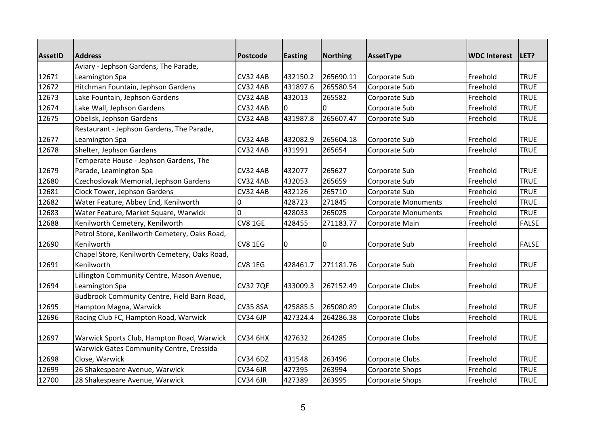|                | <b>Address</b>                                |                 |                |                 |                            |                     | LET?         |
|----------------|-----------------------------------------------|-----------------|----------------|-----------------|----------------------------|---------------------|--------------|
| <b>AssetID</b> | Aviary - Jephson Gardens, The Parade,         | <b>Postcode</b> | <b>Easting</b> | <b>Northing</b> | AssetType                  | <b>WDC Interest</b> |              |
| 12671          | Leamington Spa                                | <b>CV32 4AB</b> | 432150.2       | 265690.11       | Corporate Sub              | Freehold            | <b>TRUE</b>  |
| 12672          | Hitchman Fountain, Jephson Gardens            | <b>CV32 4AB</b> | 431897.6       | 265580.54       | Corporate Sub              | Freehold            | <b>TRUE</b>  |
| 12673          | Lake Fountain, Jephson Gardens                | <b>CV32 4AB</b> | 432013         | 265582          | Corporate Sub              | Freehold            | <b>TRUE</b>  |
| 12674          | Lake Wall, Jephson Gardens                    | <b>CV32 4AB</b> | 0              | 0               | Corporate Sub              | Freehold            | <b>TRUE</b>  |
| 12675          | Obelisk, Jephson Gardens                      | <b>CV32 4AB</b> | 431987.8       | 265607.47       | Corporate Sub              | Freehold            | <b>TRUE</b>  |
|                | Restaurant - Jephson Gardens, The Parade,     |                 |                |                 |                            |                     |              |
| 12677          | Leamington Spa                                | <b>CV32 4AB</b> | 432082.9       | 265604.18       | Corporate Sub              | Freehold            | <b>TRUE</b>  |
| 12678          | Shelter, Jephson Gardens                      | <b>CV32 4AB</b> | 431991         | 265654          | Corporate Sub              | Freehold            | <b>TRUE</b>  |
|                | Temperate House - Jephson Gardens, The        |                 |                |                 |                            |                     |              |
| 12679          | Parade, Leamington Spa                        | <b>CV32 4AB</b> | 432077         | 265627          | Corporate Sub              | Freehold            | <b>TRUE</b>  |
| 12680          | Czechoslovak Memorial, Jephson Gardens        | <b>CV32 4AB</b> | 432053         | 265659          | Corporate Sub              | Freehold            | <b>TRUE</b>  |
| 12681          | Clock Tower, Jephson Gardens                  | <b>CV32 4AB</b> | 432126         | 265710          | Corporate Sub              | Freehold            | <b>TRUE</b>  |
| 12682          | Water Feature, Abbey End, Kenilworth          | 0               | 428723         | 271845          | Corporate Monuments        | Freehold            | <b>TRUE</b>  |
| 12683          | Water Feature, Market Square, Warwick         | $\Omega$        | 428033         | 265025          | <b>Corporate Monuments</b> | Freehold            | <b>TRUE</b>  |
| 12688          | Kenilworth Cemetery, Kenilworth               | <b>CV8 1GE</b>  | 428455         | 271183.77       | Corporate Main             | Freehold            | <b>FALSE</b> |
|                | Petrol Store, Kenilworth Cemetery, Oaks Road, |                 |                |                 |                            |                     |              |
| 12690          | Kenilworth                                    | CV8 1EG         | $\overline{0}$ | 0               | Corporate Sub              | Freehold            | <b>FALSE</b> |
|                | Chapel Store, Kenilworth Cemetery, Oaks Road, |                 |                |                 |                            |                     |              |
| 12691          | Kenilworth                                    | CV8 1EG         | 428461.7       | 271181.76       | Corporate Sub              | Freehold            | <b>TRUE</b>  |
|                | Lillington Community Centre, Mason Avenue,    |                 |                |                 |                            |                     |              |
| 12694          | Leamington Spa                                | <b>CV32 7QE</b> | 433009.3       | 267152.49       | Corporate Clubs            | Freehold            | <b>TRUE</b>  |
|                | Budbrook Community Centre, Field Barn Road,   |                 |                |                 |                            |                     |              |
| 12695          | Hampton Magna, Warwick                        | <b>CV35 8SA</b> | 425885.5       | 265080.89       | Corporate Clubs            | Freehold            | <b>TRUE</b>  |
| 12696          | Racing Club FC, Hampton Road, Warwick         | <b>CV34 6JP</b> | 427324.4       | 264286.38       | Corporate Clubs            | Freehold            | <b>TRUE</b>  |
|                |                                               |                 |                |                 |                            |                     |              |
| 12697          | Warwick Sports Club, Hampton Road, Warwick    | <b>CV34 6HX</b> | 427632         | 264285          | Corporate Clubs            | Freehold            | <b>TRUE</b>  |
|                | Warwick Gates Community Centre, Cressida      |                 |                |                 |                            |                     |              |
| 12698          | Close, Warwick                                | <b>CV34 6DZ</b> | 431548         | 263496          | Corporate Clubs            | Freehold            | <b>TRUE</b>  |
| 12699          | 26 Shakespeare Avenue, Warwick                | <b>CV34 6JR</b> | 427395         | 263994          | Corporate Shops            | Freehold            | <b>TRUE</b>  |
| 12700          | 28 Shakespeare Avenue, Warwick                | <b>CV34 6JR</b> | 427389         | 263995          | Corporate Shops            | Freehold            | <b>TRUE</b>  |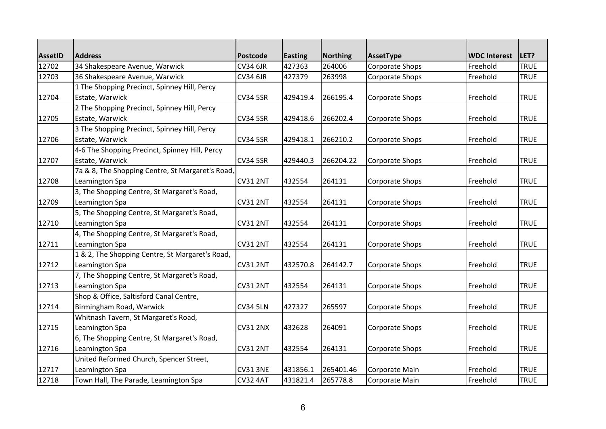| <b>AssetID</b> | <b>Address</b>                                   | <b>Postcode</b> | <b>Easting</b> | <b>Northing</b> | AssetType       | <b>WDC Interest</b> | LET?        |
|----------------|--------------------------------------------------|-----------------|----------------|-----------------|-----------------|---------------------|-------------|
| 12702          | 34 Shakespeare Avenue, Warwick                   | <b>CV34 6JR</b> | 427363         | 264006          | Corporate Shops | Freehold            | <b>TRUE</b> |
| 12703          | 36 Shakespeare Avenue, Warwick                   | <b>CV34 6JR</b> | 427379         | 263998          | Corporate Shops | Freehold            | <b>TRUE</b> |
|                | 1 The Shopping Precinct, Spinney Hill, Percy     |                 |                |                 |                 |                     |             |
| 12704          | Estate, Warwick                                  | <b>CV34 5SR</b> | 429419.4       | 266195.4        | Corporate Shops | Freehold            | <b>TRUE</b> |
|                | 2 The Shopping Precinct, Spinney Hill, Percy     |                 |                |                 |                 |                     |             |
| 12705          | Estate, Warwick                                  | <b>CV34 5SR</b> | 429418.6       | 266202.4        | Corporate Shops | Freehold            | <b>TRUE</b> |
|                | 3 The Shopping Precinct, Spinney Hill, Percy     |                 |                |                 |                 |                     |             |
| 12706          | Estate, Warwick                                  | <b>CV34 5SR</b> | 429418.1       | 266210.2        | Corporate Shops | Freehold            | <b>TRUE</b> |
|                | 4-6 The Shopping Precinct, Spinney Hill, Percy   |                 |                |                 |                 |                     |             |
| 12707          | Estate, Warwick                                  | <b>CV34 5SR</b> | 429440.3       | 266204.22       | Corporate Shops | Freehold            | <b>TRUE</b> |
|                | 7a & 8, The Shopping Centre, St Margaret's Road, |                 |                |                 |                 |                     |             |
| 12708          | Leamington Spa                                   | <b>CV31 2NT</b> | 432554         | 264131          | Corporate Shops | Freehold            | <b>TRUE</b> |
|                | 3, The Shopping Centre, St Margaret's Road,      |                 |                |                 |                 |                     |             |
| 12709          | Leamington Spa                                   | <b>CV31 2NT</b> | 432554         | 264131          | Corporate Shops | Freehold            | <b>TRUE</b> |
|                | 5, The Shopping Centre, St Margaret's Road,      |                 |                |                 |                 |                     |             |
| 12710          | Leamington Spa                                   | <b>CV31 2NT</b> | 432554         | 264131          | Corporate Shops | Freehold            | <b>TRUE</b> |
|                | 4, The Shopping Centre, St Margaret's Road,      |                 |                |                 |                 |                     |             |
| 12711          | Leamington Spa                                   | <b>CV31 2NT</b> | 432554         | 264131          | Corporate Shops | Freehold            | <b>TRUE</b> |
|                | 1 & 2, The Shopping Centre, St Margaret's Road,  |                 |                |                 |                 |                     |             |
| 12712          | Leamington Spa                                   | <b>CV31 2NT</b> | 432570.8       | 264142.7        | Corporate Shops | Freehold            | <b>TRUE</b> |
|                | 7, The Shopping Centre, St Margaret's Road,      |                 |                |                 |                 |                     |             |
| 12713          | Leamington Spa                                   | <b>CV31 2NT</b> | 432554         | 264131          | Corporate Shops | Freehold            | <b>TRUE</b> |
|                | Shop & Office, Saltisford Canal Centre,          |                 |                |                 |                 |                     |             |
| 12714          | Birmingham Road, Warwick                         | <b>CV34 5LN</b> | 427327         | 265597          | Corporate Shops | Freehold            | <b>TRUE</b> |
|                | Whitnash Tavern, St Margaret's Road,             |                 |                |                 |                 |                     |             |
| 12715          | Leamington Spa                                   | <b>CV31 2NX</b> | 432628         | 264091          | Corporate Shops | Freehold            | <b>TRUE</b> |
|                | 6, The Shopping Centre, St Margaret's Road,      |                 |                |                 |                 |                     |             |
| 12716          | Leamington Spa                                   | <b>CV31 2NT</b> | 432554         | 264131          | Corporate Shops | Freehold            | <b>TRUE</b> |
|                | United Reformed Church, Spencer Street,          |                 |                |                 |                 |                     |             |
| 12717          | Leamington Spa                                   | <b>CV31 3NE</b> | 431856.1       | 265401.46       | Corporate Main  | Freehold            | <b>TRUE</b> |
| 12718          | Town Hall, The Parade, Leamington Spa            | CV32 4AT        | 431821.4       | 265778.8        | Corporate Main  | Freehold            | <b>TRUE</b> |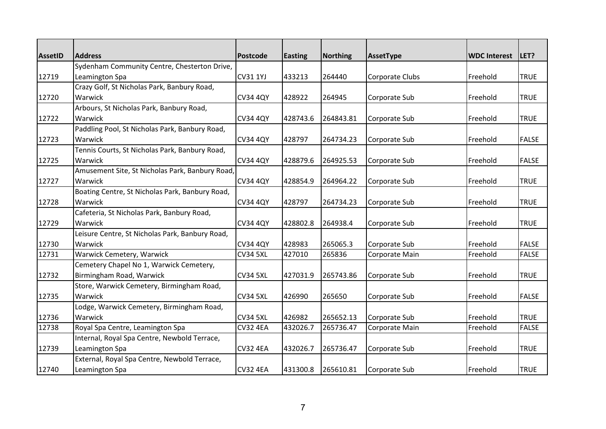| <b>AssetID</b> | <b>Address</b>                                  | <b>Postcode</b> | <b>Easting</b> | <b>Northing</b> | AssetType       | <b>WDC Interest</b> | LET?         |
|----------------|-------------------------------------------------|-----------------|----------------|-----------------|-----------------|---------------------|--------------|
|                | Sydenham Community Centre, Chesterton Drive,    |                 |                |                 |                 |                     |              |
| 12719          | Leamington Spa                                  | <b>CV31 1YJ</b> | 433213         | 264440          | Corporate Clubs | Freehold            | <b>TRUE</b>  |
|                | Crazy Golf, St Nicholas Park, Banbury Road,     |                 |                |                 |                 |                     |              |
| 12720          | Warwick                                         | <b>CV34 4QY</b> | 428922         | 264945          | Corporate Sub   | Freehold            | <b>TRUE</b>  |
|                | Arbours, St Nicholas Park, Banbury Road,        |                 |                |                 |                 |                     |              |
| 12722          | Warwick                                         | <b>CV34 4QY</b> | 428743.6       | 264843.81       | Corporate Sub   | Freehold            | <b>TRUE</b>  |
|                | Paddling Pool, St Nicholas Park, Banbury Road,  |                 |                |                 |                 |                     |              |
| 12723          | Warwick                                         | <b>CV34 4QY</b> | 428797         | 264734.23       | Corporate Sub   | Freehold            | <b>FALSE</b> |
|                | Tennis Courts, St Nicholas Park, Banbury Road,  |                 |                |                 |                 |                     |              |
| 12725          | Warwick                                         | <b>CV34 4QY</b> | 428879.6       | 264925.53       | Corporate Sub   | Freehold            | <b>FALSE</b> |
|                | Amusement Site, St Nicholas Park, Banbury Road, |                 |                |                 |                 |                     |              |
| 12727          | Warwick                                         | <b>CV34 4QY</b> | 428854.9       | 264964.22       | Corporate Sub   | Freehold            | <b>TRUE</b>  |
|                | Boating Centre, St Nicholas Park, Banbury Road, |                 |                |                 |                 |                     |              |
| 12728          | Warwick                                         | <b>CV34 4QY</b> | 428797         | 264734.23       | Corporate Sub   | Freehold            | <b>TRUE</b>  |
|                | Cafeteria, St Nicholas Park, Banbury Road,      |                 |                |                 |                 |                     |              |
| 12729          | Warwick                                         | <b>CV34 4QY</b> | 428802.8       | 264938.4        | Corporate Sub   | Freehold            | <b>TRUE</b>  |
|                | Leisure Centre, St Nicholas Park, Banbury Road, |                 |                |                 |                 |                     |              |
| 12730          | Warwick                                         | <b>CV34 4QY</b> | 428983         | 265065.3        | Corporate Sub   | Freehold            | <b>FALSE</b> |
| 12731          | Warwick Cemetery, Warwick                       | <b>CV34 5XL</b> | 427010         | 265836          | Corporate Main  | Freehold            | <b>FALSE</b> |
|                | Cemetery Chapel No 1, Warwick Cemetery,         |                 |                |                 |                 |                     |              |
| 12732          | Birmingham Road, Warwick                        | <b>CV34 5XL</b> | 427031.9       | 265743.86       | Corporate Sub   | Freehold            | <b>TRUE</b>  |
|                | Store, Warwick Cemetery, Birmingham Road,       |                 |                |                 |                 |                     |              |
| 12735          | Warwick                                         | <b>CV34 5XL</b> | 426990         | 265650          | Corporate Sub   | Freehold            | <b>FALSE</b> |
|                | Lodge, Warwick Cemetery, Birmingham Road,       |                 |                |                 |                 |                     |              |
| 12736          | Warwick                                         | <b>CV34 5XL</b> | 426982         | 265652.13       | Corporate Sub   | Freehold            | <b>TRUE</b>  |
| 12738          | Royal Spa Centre, Leamington Spa                | <b>CV32 4EA</b> | 432026.7       | 265736.47       | Corporate Main  | Freehold            | <b>FALSE</b> |
|                | Internal, Royal Spa Centre, Newbold Terrace,    |                 |                |                 |                 |                     |              |
| 12739          | Leamington Spa                                  | <b>CV32 4EA</b> | 432026.7       | 265736.47       | Corporate Sub   | Freehold            | <b>TRUE</b>  |
|                | External, Royal Spa Centre, Newbold Terrace,    |                 |                |                 |                 |                     |              |
| 12740          | Leamington Spa                                  | <b>CV32 4EA</b> | 431300.8       | 265610.81       | Corporate Sub   | Freehold            | <b>TRUE</b>  |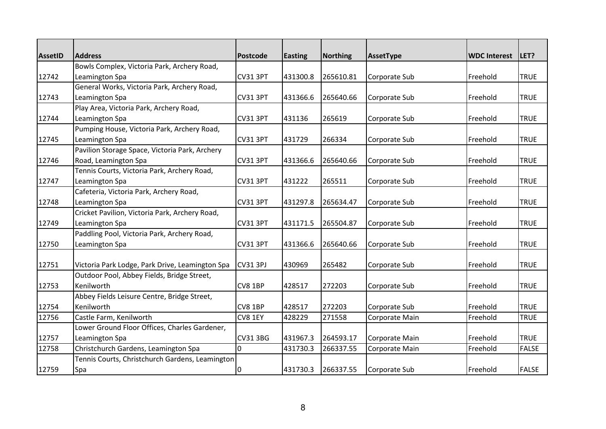| <b>AssetID</b> | <b>Address</b>                                  | <b>Postcode</b> | <b>Easting</b> | <b>Northing</b> | AssetType      | <b>WDC Interest</b> | LET?         |
|----------------|-------------------------------------------------|-----------------|----------------|-----------------|----------------|---------------------|--------------|
|                | Bowls Complex, Victoria Park, Archery Road,     |                 |                |                 |                |                     |              |
| 12742          | Leamington Spa                                  | <b>CV31 3PT</b> | 431300.8       | 265610.81       | Corporate Sub  | Freehold            | <b>TRUE</b>  |
|                | General Works, Victoria Park, Archery Road,     |                 |                |                 |                |                     |              |
| 12743          | Leamington Spa                                  | CV31 3PT        | 431366.6       | 265640.66       | Corporate Sub  | Freehold            | <b>TRUE</b>  |
|                | Play Area, Victoria Park, Archery Road,         |                 |                |                 |                |                     |              |
| 12744          | Leamington Spa                                  | <b>CV31 3PT</b> | 431136         | 265619          | Corporate Sub  | Freehold            | <b>TRUE</b>  |
|                | Pumping House, Victoria Park, Archery Road,     |                 |                |                 |                |                     |              |
| 12745          | Leamington Spa                                  | <b>CV31 3PT</b> | 431729         | 266334          | Corporate Sub  | Freehold            | <b>TRUE</b>  |
|                | Pavilion Storage Space, Victoria Park, Archery  |                 |                |                 |                |                     |              |
| 12746          | Road, Leamington Spa                            | <b>CV31 3PT</b> | 431366.6       | 265640.66       | Corporate Sub  | Freehold            | <b>TRUE</b>  |
|                | Tennis Courts, Victoria Park, Archery Road,     |                 |                |                 |                |                     |              |
| 12747          | Leamington Spa                                  | <b>CV31 3PT</b> | 431222         | 265511          | Corporate Sub  | Freehold            | <b>TRUE</b>  |
|                | Cafeteria, Victoria Park, Archery Road,         |                 |                |                 |                |                     |              |
| 12748          | Leamington Spa                                  | <b>CV31 3PT</b> | 431297.8       | 265634.47       | Corporate Sub  | Freehold            | <b>TRUE</b>  |
|                | Cricket Pavilion, Victoria Park, Archery Road,  |                 |                |                 |                |                     |              |
| 12749          | Leamington Spa                                  | <b>CV31 3PT</b> | 431171.5       | 265504.87       | Corporate Sub  | Freehold            | <b>TRUE</b>  |
|                | Paddling Pool, Victoria Park, Archery Road,     |                 |                |                 |                |                     |              |
| 12750          | Leamington Spa                                  | <b>CV31 3PT</b> | 431366.6       | 265640.66       | Corporate Sub  | Freehold            | <b>TRUE</b>  |
|                |                                                 |                 |                |                 |                |                     |              |
| 12751          | Victoria Park Lodge, Park Drive, Leamington Spa | <b>CV31 3PJ</b> | 430969         | 265482          | Corporate Sub  | Freehold            | <b>TRUE</b>  |
|                | Outdoor Pool, Abbey Fields, Bridge Street,      |                 |                |                 |                |                     |              |
| 12753          | Kenilworth                                      | CV8 1BP         | 428517         | 272203          | Corporate Sub  | Freehold            | <b>TRUE</b>  |
|                | Abbey Fields Leisure Centre, Bridge Street,     |                 |                |                 |                |                     |              |
| 12754          | Kenilworth                                      | CV8 1BP         | 428517         | 272203          | Corporate Sub  | Freehold            | <b>TRUE</b>  |
| 12756          | Castle Farm, Kenilworth                         | CV8 1EY         | 428229         | 271558          | Corporate Main | Freehold            | <b>TRUE</b>  |
|                | Lower Ground Floor Offices, Charles Gardener,   |                 |                |                 |                |                     |              |
| 12757          | Leamington Spa                                  | <b>CV31 3BG</b> | 431967.3       | 264593.17       | Corporate Main | Freehold            | <b>TRUE</b>  |
| 12758          | Christchurch Gardens, Leamington Spa            | 0               | 431730.3       | 266337.55       | Corporate Main | Freehold            | <b>FALSE</b> |
|                | Tennis Courts, Christchurch Gardens, Leamington |                 |                |                 |                |                     |              |
| 12759          | Spa                                             | 0               | 431730.3       | 266337.55       | Corporate Sub  | Freehold            | <b>FALSE</b> |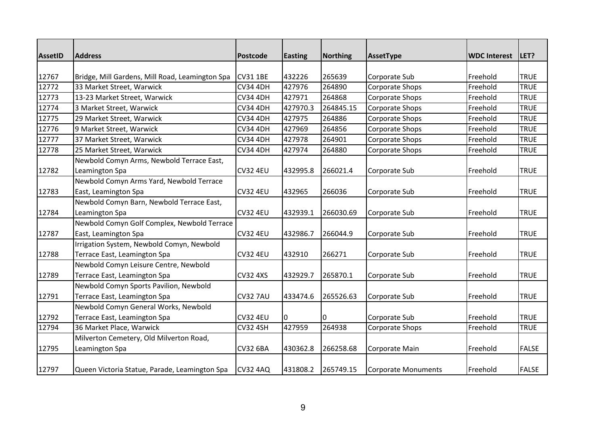| <b>AssetID</b> | <b>Address</b>                                  | <b>Postcode</b> | <b>Easting</b> | <b>Northing</b> | AssetType                  | <b>WDC Interest</b> | LET?         |
|----------------|-------------------------------------------------|-----------------|----------------|-----------------|----------------------------|---------------------|--------------|
|                |                                                 |                 |                |                 |                            |                     |              |
| 12767          | Bridge, Mill Gardens, Mill Road, Leamington Spa | <b>CV31 1BE</b> | 432226         | 265639          | Corporate Sub              | Freehold            | <b>TRUE</b>  |
| 12772          | 33 Market Street, Warwick                       | <b>CV34 4DH</b> | 427976         | 264890          | Corporate Shops            | Freehold            | <b>TRUE</b>  |
| 12773          | 13-23 Market Street, Warwick                    | <b>CV34 4DH</b> | 427971         | 264868          | Corporate Shops            | Freehold            | <b>TRUE</b>  |
| 12774          | 3 Market Street, Warwick                        | <b>CV34 4DH</b> | 427970.3       | 264845.15       | Corporate Shops            | Freehold            | <b>TRUE</b>  |
| 12775          | 29 Market Street, Warwick                       | <b>CV34 4DH</b> | 427975         | 264886          | Corporate Shops            | Freehold            | <b>TRUE</b>  |
| 12776          | 9 Market Street, Warwick                        | <b>CV34 4DH</b> | 427969         | 264856          | Corporate Shops            | Freehold            | <b>TRUE</b>  |
| 12777          | 37 Market Street, Warwick                       | <b>CV34 4DH</b> | 427978         | 264901          | <b>Corporate Shops</b>     | Freehold            | <b>TRUE</b>  |
| 12778          | 25 Market Street, Warwick                       | <b>CV34 4DH</b> | 427974         | 264880          | Corporate Shops            | Freehold            | <b>TRUE</b>  |
|                | Newbold Comyn Arms, Newbold Terrace East,       |                 |                |                 |                            |                     |              |
| 12782          | Leamington Spa                                  | <b>CV32 4EU</b> | 432995.8       | 266021.4        | Corporate Sub              | Freehold            | <b>TRUE</b>  |
|                | Newbold Comyn Arms Yard, Newbold Terrace        |                 |                |                 |                            |                     |              |
| 12783          | East, Leamington Spa                            | <b>CV32 4EU</b> | 432965         | 266036          | Corporate Sub              | Freehold            | <b>TRUE</b>  |
|                | Newbold Comyn Barn, Newbold Terrace East,       |                 |                |                 |                            |                     |              |
| 12784          | Leamington Spa                                  | <b>CV32 4EU</b> | 432939.1       | 266030.69       | Corporate Sub              | Freehold            | <b>TRUE</b>  |
|                | Newbold Comyn Golf Complex, Newbold Terrace     |                 |                |                 |                            |                     |              |
| 12787          | East, Leamington Spa                            | <b>CV32 4EU</b> | 432986.7       | 266044.9        | Corporate Sub              | Freehold            | <b>TRUE</b>  |
|                | Irrigation System, Newbold Comyn, Newbold       |                 |                |                 |                            |                     |              |
| 12788          | Terrace East, Leamington Spa                    | <b>CV32 4EU</b> | 432910         | 266271          | Corporate Sub              | Freehold            | <b>TRUE</b>  |
|                | Newbold Comyn Leisure Centre, Newbold           |                 |                |                 |                            |                     |              |
| 12789          | Terrace East, Leamington Spa                    | <b>CV32 4XS</b> | 432929.7       | 265870.1        | Corporate Sub              | Freehold            | <b>TRUE</b>  |
|                | Newbold Comyn Sports Pavilion, Newbold          |                 |                |                 |                            |                     |              |
| 12791          | Terrace East, Leamington Spa                    | <b>CV32 7AU</b> | 433474.6       | 265526.63       | Corporate Sub              | Freehold            | <b>TRUE</b>  |
|                | Newbold Comyn General Works, Newbold            |                 |                |                 |                            |                     |              |
| 12792          | Terrace East, Leamington Spa                    | <b>CV32 4EU</b> | 10             | 0               | Corporate Sub              | Freehold            | <b>TRUE</b>  |
| 12794          | 36 Market Place, Warwick                        | <b>CV32 4SH</b> | 427959         | 264938          | Corporate Shops            | Freehold            | <b>TRUE</b>  |
|                | Milverton Cemetery, Old Milverton Road,         |                 |                |                 |                            |                     |              |
| 12795          | Leamington Spa                                  | <b>CV32 6BA</b> | 430362.8       | 266258.68       | Corporate Main             | Freehold            | <b>FALSE</b> |
| 12797          | Queen Victoria Statue, Parade, Leamington Spa   | <b>CV32 4AQ</b> | 431808.2       | 265749.15       | <b>Corporate Monuments</b> | Freehold            | <b>FALSE</b> |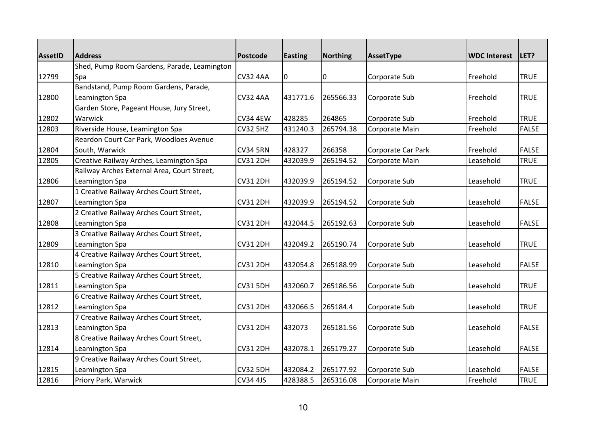| <b>AssetID</b> | <b>Address</b>                              | <b>Postcode</b> | <b>Easting</b> | <b>Northing</b> | AssetType          | <b>WDC Interest</b> | LET?         |
|----------------|---------------------------------------------|-----------------|----------------|-----------------|--------------------|---------------------|--------------|
|                | Shed, Pump Room Gardens, Parade, Leamington |                 |                |                 |                    |                     |              |
| 12799          | Spa                                         | <b>CV32 4AA</b> | 10             | 0               | Corporate Sub      | Freehold            | <b>TRUE</b>  |
|                | Bandstand, Pump Room Gardens, Parade,       |                 |                |                 |                    |                     |              |
| 12800          | Leamington Spa                              | <b>CV32 4AA</b> | 431771.6       | 265566.33       | Corporate Sub      | Freehold            | <b>TRUE</b>  |
|                | Garden Store, Pageant House, Jury Street,   |                 |                |                 |                    |                     |              |
| 12802          | Warwick                                     | <b>CV34 4EW</b> | 428285         | 264865          | Corporate Sub      | Freehold            | <b>TRUE</b>  |
| 12803          | Riverside House, Leamington Spa             | <b>CV32 5HZ</b> | 431240.3       | 265794.38       | Corporate Main     | Freehold            | <b>FALSE</b> |
|                | Reardon Court Car Park, Woodloes Avenue     |                 |                |                 |                    |                     |              |
| 12804          | South, Warwick                              | <b>CV34 5RN</b> | 428327         | 266358          | Corporate Car Park | Freehold            | <b>FALSE</b> |
| 12805          | Creative Railway Arches, Leamington Spa     | <b>CV31 2DH</b> | 432039.9       | 265194.52       | Corporate Main     | Leasehold           | <b>TRUE</b>  |
|                | Railway Arches External Area, Court Street, |                 |                |                 |                    |                     |              |
| 12806          | Leamington Spa                              | <b>CV31 2DH</b> | 432039.9       | 265194.52       | Corporate Sub      | Leasehold           | <b>TRUE</b>  |
|                | 1 Creative Railway Arches Court Street,     |                 |                |                 |                    |                     |              |
| 12807          | Leamington Spa                              | <b>CV31 2DH</b> | 432039.9       | 265194.52       | Corporate Sub      | Leasehold           | <b>FALSE</b> |
|                | 2 Creative Railway Arches Court Street,     |                 |                |                 |                    |                     |              |
| 12808          | Leamington Spa                              | <b>CV31 2DH</b> | 432044.5       | 265192.63       | Corporate Sub      | Leasehold           | <b>FALSE</b> |
|                | 3 Creative Railway Arches Court Street,     |                 |                |                 |                    |                     |              |
| 12809          | Leamington Spa                              | <b>CV31 2DH</b> | 432049.2       | 265190.74       | Corporate Sub      | Leasehold           | <b>TRUE</b>  |
|                | 4 Creative Railway Arches Court Street,     |                 |                |                 |                    |                     |              |
| 12810          | Leamington Spa                              | <b>CV31 2DH</b> | 432054.8       | 265188.99       | Corporate Sub      | Leasehold           | <b>FALSE</b> |
|                | 5 Creative Railway Arches Court Street,     |                 |                |                 |                    |                     |              |
| 12811          | Leamington Spa                              | <b>CV31 5DH</b> | 432060.7       | 265186.56       | Corporate Sub      | Leasehold           | <b>TRUE</b>  |
|                | 6 Creative Railway Arches Court Street,     |                 |                |                 |                    |                     |              |
| 12812          | Leamington Spa                              | CV31 2DH        | 432066.5       | 265184.4        | Corporate Sub      | Leasehold           | <b>TRUE</b>  |
|                | 7 Creative Railway Arches Court Street,     |                 |                |                 |                    |                     |              |
| 12813          | Leamington Spa                              | <b>CV31 2DH</b> | 432073         | 265181.56       | Corporate Sub      | Leasehold           | <b>FALSE</b> |
|                | 8 Creative Railway Arches Court Street,     |                 |                |                 |                    |                     |              |
| 12814          | Leamington Spa                              | <b>CV31 2DH</b> | 432078.1       | 265179.27       | Corporate Sub      | Leasehold           | <b>FALSE</b> |
|                | 9 Creative Railway Arches Court Street,     |                 |                |                 |                    |                     |              |
| 12815          | Leamington Spa                              | <b>CV32 5DH</b> | 432084.2       | 265177.92       | Corporate Sub      | Leasehold           | <b>FALSE</b> |
| 12816          | Priory Park, Warwick                        | <b>CV34 4JS</b> | 428388.5       | 265316.08       | Corporate Main     | Freehold            | <b>TRUE</b>  |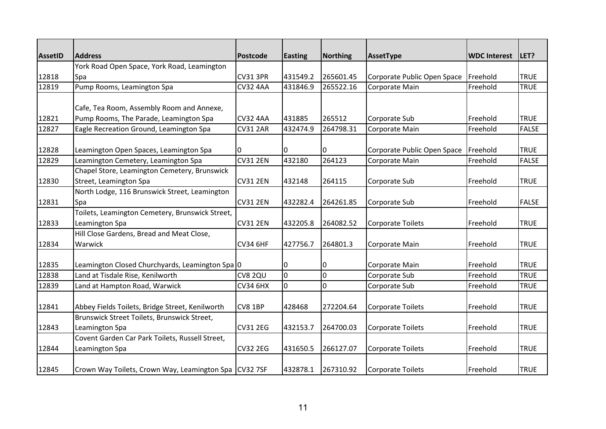| <b>AssetID</b> | <b>Address</b>                                  | <b>Postcode</b> | <b>Easting</b> | <b>Northing</b> | AssetType                   | <b>WDC Interest</b> | LET?         |
|----------------|-------------------------------------------------|-----------------|----------------|-----------------|-----------------------------|---------------------|--------------|
|                | York Road Open Space, York Road, Leamington     |                 |                |                 |                             |                     |              |
| 12818          | Spa                                             | <b>CV31 3PR</b> | 431549.2       | 265601.45       | Corporate Public Open Space | Freehold            | <b>TRUE</b>  |
| 12819          | Pump Rooms, Leamington Spa                      | <b>CV32 4AA</b> | 431846.9       | 265522.16       | Corporate Main              | Freehold            | <b>TRUE</b>  |
|                | Cafe, Tea Room, Assembly Room and Annexe,       |                 |                |                 |                             |                     |              |
| 12821          | Pump Rooms, The Parade, Leamington Spa          | <b>CV32 4AA</b> | 431885         | 265512          | Corporate Sub               | Freehold            | <b>TRUE</b>  |
| 12827          | Eagle Recreation Ground, Leamington Spa         | <b>CV31 2AR</b> | 432474.9       | 264798.31       | Corporate Main              | Freehold            | <b>FALSE</b> |
| 12828          | Leamington Open Spaces, Leamington Spa          |                 | 0              | 0               | Corporate Public Open Space | Freehold            | <b>TRUE</b>  |
| 12829          | Leamington Cemetery, Leamington Spa             | <b>CV31 2EN</b> | 432180         | 264123          | Corporate Main              | Freehold            | <b>FALSE</b> |
|                | Chapel Store, Leamington Cemetery, Brunswick    |                 |                |                 |                             |                     |              |
| 12830          | Street, Leamington Spa                          | <b>CV31 2EN</b> | 432148         | 264115          | Corporate Sub               | Freehold            | <b>TRUE</b>  |
|                | North Lodge, 116 Brunswick Street, Leamington   |                 |                |                 |                             |                     |              |
| 12831          | Spa                                             | <b>CV31 2EN</b> | 432282.4       | 264261.85       | Corporate Sub               | Freehold            | <b>FALSE</b> |
|                | Toilets, Leamington Cemetery, Brunswick Street, |                 |                |                 |                             |                     |              |
| 12833          | Leamington Spa                                  | <b>CV31 2EN</b> | 432205.8       | 264082.52       | <b>Corporate Toilets</b>    | Freehold            | <b>TRUE</b>  |
|                | Hill Close Gardens, Bread and Meat Close,       |                 |                |                 |                             |                     |              |
| 12834          | Warwick                                         | <b>CV34 6HF</b> | 427756.7       | 264801.3        | Corporate Main              | Freehold            | <b>TRUE</b>  |
| 12835          | Leamington Closed Churchyards, Leamington Spa 0 |                 | 0              | 0               | Corporate Main              | Freehold            | <b>TRUE</b>  |
| 12838          | Land at Tisdale Rise, Kenilworth                | CV8 2QU         | l0             | 0               | Corporate Sub               | Freehold            | <b>TRUE</b>  |
| 12839          | Land at Hampton Road, Warwick                   | <b>CV34 6HX</b> | $\overline{0}$ | 0               | Corporate Sub               | Freehold            | <b>TRUE</b>  |
| 12841          | Abbey Fields Toilets, Bridge Street, Kenilworth | CV8 1BP         | 428468         | 272204.64       | <b>Corporate Toilets</b>    | Freehold            | <b>TRUE</b>  |
|                | Brunswick Street Toilets, Brunswick Street,     |                 |                |                 |                             |                     |              |
| 12843          | Leamington Spa                                  | <b>CV31 2EG</b> | 432153.7       | 264700.03       | <b>Corporate Toilets</b>    | Freehold            | <b>TRUE</b>  |
|                | Covent Garden Car Park Toilets, Russell Street, |                 |                |                 |                             |                     |              |
| 12844          | Leamington Spa                                  | <b>CV32 2EG</b> | 431650.5       | 266127.07       | <b>Corporate Toilets</b>    | Freehold            | <b>TRUE</b>  |
| 12845          | Crown Way Toilets, Crown Way, Leamington Spa    | <b>CV32 7SF</b> | 432878.1       | 267310.92       | <b>Corporate Toilets</b>    | Freehold            | <b>TRUE</b>  |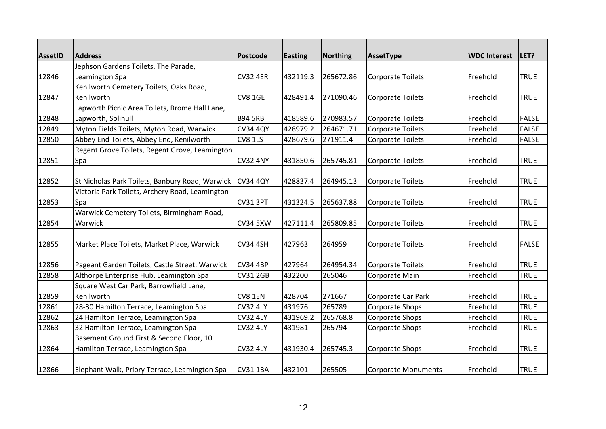| <b>AssetID</b> | <b>Address</b>                                  | <b>Postcode</b> | <b>Easting</b> | Northing  | AssetType                  | <b>WDC Interest</b> | LET?         |
|----------------|-------------------------------------------------|-----------------|----------------|-----------|----------------------------|---------------------|--------------|
|                | Jephson Gardens Toilets, The Parade,            |                 |                |           |                            |                     |              |
| 12846          | Leamington Spa                                  | <b>CV32 4ER</b> | 432119.3       | 265672.86 | <b>Corporate Toilets</b>   | Freehold            | <b>TRUE</b>  |
|                | Kenilworth Cemetery Toilets, Oaks Road,         |                 |                |           |                            |                     |              |
| 12847          | Kenilworth                                      | <b>CV8 1GE</b>  | 428491.4       | 271090.46 | <b>Corporate Toilets</b>   | Freehold            | <b>TRUE</b>  |
|                | Lapworth Picnic Area Toilets, Brome Hall Lane,  |                 |                |           |                            |                     |              |
| 12848          | Lapworth, Solihull                              | <b>B94 5RB</b>  | 418589.6       | 270983.57 | <b>Corporate Toilets</b>   | Freehold            | <b>FALSE</b> |
| 12849          | Myton Fields Toilets, Myton Road, Warwick       | <b>CV34 4QY</b> | 428979.2       | 264671.71 | <b>Corporate Toilets</b>   | Freehold            | <b>FALSE</b> |
| 12850          | Abbey End Toilets, Abbey End, Kenilworth        | <b>CV8 1LS</b>  | 428679.6       | 271911.4  | <b>Corporate Toilets</b>   | Freehold            | <b>FALSE</b> |
|                | Regent Grove Toilets, Regent Grove, Leamington  |                 |                |           |                            |                     |              |
| 12851          | Spa                                             | <b>CV32 4NY</b> | 431850.6       | 265745.81 | <b>Corporate Toilets</b>   | Freehold            | <b>TRUE</b>  |
| 12852          | St Nicholas Park Toilets, Banbury Road, Warwick | <b>CV34 4QY</b> | 428837.4       | 264945.13 | <b>Corporate Toilets</b>   | Freehold            | <b>TRUE</b>  |
|                | Victoria Park Toilets, Archery Road, Leamington |                 |                |           |                            |                     |              |
| 12853          | Spa                                             | CV31 3PT        | 431324.5       | 265637.88 | <b>Corporate Toilets</b>   | Freehold            | <b>TRUE</b>  |
|                | Warwick Cemetery Toilets, Birmingham Road,      |                 |                |           |                            |                     |              |
| 12854          | Warwick                                         | <b>CV34 5XW</b> | 427111.4       | 265809.85 | <b>Corporate Toilets</b>   | Freehold            | <b>TRUE</b>  |
| 12855          | Market Place Toilets, Market Place, Warwick     | <b>CV34 4SH</b> | 427963         | 264959    | <b>Corporate Toilets</b>   | Freehold            | <b>FALSE</b> |
| 12856          | Pageant Garden Toilets, Castle Street, Warwick  | <b>CV34 4BP</b> | 427964         | 264954.34 | <b>Corporate Toilets</b>   | Freehold            | <b>TRUE</b>  |
| 12858          | Althorpe Enterprise Hub, Leamington Spa         | <b>CV31 2GB</b> | 432200         | 265046    | Corporate Main             | Freehold            | <b>TRUE</b>  |
|                | Square West Car Park, Barrowfield Lane,         |                 |                |           |                            |                     |              |
| 12859          | Kenilworth                                      | CV8 1EN         | 428704         | 271667    | Corporate Car Park         | Freehold            | <b>TRUE</b>  |
| 12861          | 28-30 Hamilton Terrace, Leamington Spa          | <b>CV32 4LY</b> | 431976         | 265789    | Corporate Shops            | Freehold            | <b>TRUE</b>  |
| 12862          | 24 Hamilton Terrace, Leamington Spa             | <b>CV32 4LY</b> | 431969.2       | 265768.8  | Corporate Shops            | Freehold            | <b>TRUE</b>  |
| 12863          | 32 Hamilton Terrace, Leamington Spa             | <b>CV32 4LY</b> | 431981         | 265794    | Corporate Shops            | Freehold            | <b>TRUE</b>  |
|                | Basement Ground First & Second Floor, 10        |                 |                |           |                            |                     |              |
| 12864          | Hamilton Terrace, Leamington Spa                | <b>CV32 4LY</b> | 431930.4       | 265745.3  | Corporate Shops            | Freehold            | <b>TRUE</b>  |
| 12866          | Elephant Walk, Priory Terrace, Leamington Spa   | <b>CV31 1BA</b> | 432101         | 265505    | <b>Corporate Monuments</b> | Freehold            | <b>TRUE</b>  |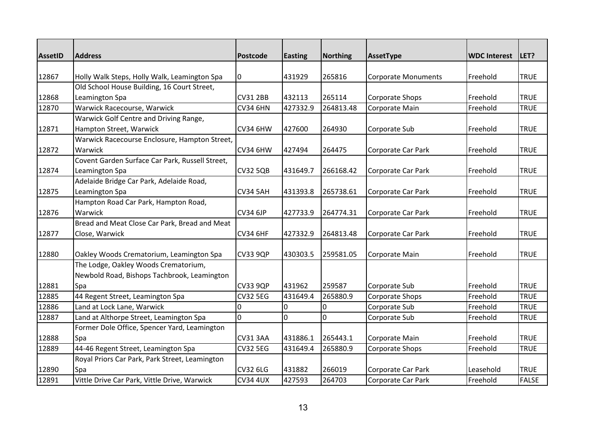| <b>AssetID</b> | <b>Address</b>                                  | <b>Postcode</b> | <b>Easting</b> | <b>Northing</b> | AssetType                  | <b>WDC Interest</b> | LET?         |
|----------------|-------------------------------------------------|-----------------|----------------|-----------------|----------------------------|---------------------|--------------|
|                |                                                 |                 |                |                 |                            |                     |              |
| 12867          | Holly Walk Steps, Holly Walk, Leamington Spa    | 0               | 431929         | 265816          | <b>Corporate Monuments</b> | Freehold            | <b>TRUE</b>  |
|                | Old School House Building, 16 Court Street,     |                 |                |                 |                            |                     |              |
| 12868          | Leamington Spa                                  | <b>CV31 2BB</b> | 432113         | 265114          | Corporate Shops            | Freehold            | <b>TRUE</b>  |
| 12870          | Warwick Racecourse, Warwick                     | <b>CV34 6HN</b> | 427332.9       | 264813.48       | Corporate Main             | Freehold            | <b>TRUE</b>  |
|                | Warwick Golf Centre and Driving Range,          |                 |                |                 |                            |                     |              |
| 12871          | Hampton Street, Warwick                         | CV34 6HW        | 427600         | 264930          | Corporate Sub              | Freehold            | <b>TRUE</b>  |
|                | Warwick Racecourse Enclosure, Hampton Street,   |                 |                |                 |                            |                     |              |
| 12872          | Warwick                                         | <b>CV34 6HW</b> | 427494         | 264475          | Corporate Car Park         | Freehold            | <b>TRUE</b>  |
|                | Covent Garden Surface Car Park, Russell Street, |                 |                |                 |                            |                     |              |
| 12874          | Leamington Spa                                  | <b>CV32 5QB</b> | 431649.7       | 266168.42       | Corporate Car Park         | Freehold            | <b>TRUE</b>  |
|                | Adelaide Bridge Car Park, Adelaide Road,        |                 |                |                 |                            |                     |              |
| 12875          | Leamington Spa                                  | <b>CV34 5AH</b> | 431393.8       | 265738.61       | Corporate Car Park         | Freehold            | <b>TRUE</b>  |
|                | Hampton Road Car Park, Hampton Road,            |                 |                |                 |                            |                     |              |
| 12876          | Warwick                                         | <b>CV34 6JP</b> | 427733.9       | 264774.31       | Corporate Car Park         | Freehold            | <b>TRUE</b>  |
|                | Bread and Meat Close Car Park, Bread and Meat   |                 |                |                 |                            |                     |              |
| 12877          | Close, Warwick                                  | <b>CV34 6HF</b> | 427332.9       | 264813.48       | Corporate Car Park         | Freehold            | <b>TRUE</b>  |
|                |                                                 |                 |                |                 |                            |                     |              |
| 12880          | Oakley Woods Crematorium, Leamington Spa        | <b>CV33 9QP</b> | 430303.5       | 259581.05       | Corporate Main             | Freehold            | <b>TRUE</b>  |
|                | The Lodge, Oakley Woods Crematorium,            |                 |                |                 |                            |                     |              |
|                | Newbold Road, Bishops Tachbrook, Leamington     |                 |                |                 |                            |                     |              |
| 12881          | Spa                                             | <b>CV33 9QP</b> | 431962         | 259587          | Corporate Sub              | Freehold            | <b>TRUE</b>  |
| 12885          | 44 Regent Street, Leamington Spa                | <b>CV32 5EG</b> | 431649.4       | 265880.9        | Corporate Shops            | Freehold            | <b>TRUE</b>  |
| 12886          | Land at Lock Lane, Warwick                      | 0               | 0              | 0               | Corporate Sub              | Freehold            | <b>TRUE</b>  |
| 12887          | Land at Althorpe Street, Leamington Spa         | $\overline{0}$  | $\overline{0}$ | 0               | Corporate Sub              | Freehold            | <b>TRUE</b>  |
|                | Former Dole Office, Spencer Yard, Leamington    |                 |                |                 |                            |                     |              |
| 12888          | Spa                                             | <b>CV31 3AA</b> | 431886.1       | 265443.1        | Corporate Main             | Freehold            | <b>TRUE</b>  |
| 12889          | 44-46 Regent Street, Leamington Spa             | <b>CV32 5EG</b> | 431649.4       | 265880.9        | Corporate Shops            | Freehold            | <b>TRUE</b>  |
|                | Royal Priors Car Park, Park Street, Leamington  |                 |                |                 |                            |                     |              |
| 12890          | Spa                                             | <b>CV32 6LG</b> | 431882         | 266019          | Corporate Car Park         | Leasehold           | <b>TRUE</b>  |
| 12891          | Vittle Drive Car Park, Vittle Drive, Warwick    | <b>CV34 4UX</b> | 427593         | 264703          | Corporate Car Park         | Freehold            | <b>FALSE</b> |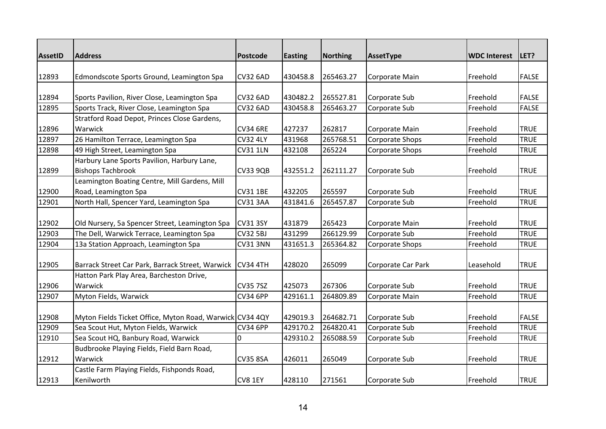| <b>AssetID</b> | <b>Address</b>                                           | <b>Postcode</b> | <b>Easting</b> | Northing  | AssetType              | <b>WDC Interest</b> | LET?         |
|----------------|----------------------------------------------------------|-----------------|----------------|-----------|------------------------|---------------------|--------------|
|                |                                                          |                 |                |           |                        |                     |              |
| 12893          | Edmondscote Sports Ground, Leamington Spa                | <b>CV32 6AD</b> | 430458.8       | 265463.27 | Corporate Main         | Freehold            | <b>FALSE</b> |
|                |                                                          |                 |                |           |                        |                     |              |
| 12894          | Sports Pavilion, River Close, Leamington Spa             | <b>CV32 6AD</b> | 430482.2       | 265527.81 | Corporate Sub          | Freehold            | <b>FALSE</b> |
| 12895          | Sports Track, River Close, Leamington Spa                | <b>CV32 6AD</b> | 430458.8       | 265463.27 | Corporate Sub          | Freehold            | <b>FALSE</b> |
|                | Stratford Road Depot, Princes Close Gardens,             |                 |                |           |                        |                     |              |
| 12896          | Warwick                                                  | <b>CV34 6RE</b> | 427237         | 262817    | Corporate Main         | Freehold            | <b>TRUE</b>  |
| 12897          | 26 Hamilton Terrace, Leamington Spa                      | <b>CV32 4LY</b> | 431968         | 265768.51 | <b>Corporate Shops</b> | Freehold            | <b>TRUE</b>  |
| 12898          | 49 High Street, Leamington Spa                           | <b>CV31 1LN</b> | 432108         | 265224    | Corporate Shops        | Freehold            | <b>TRUE</b>  |
|                | Harbury Lane Sports Pavilion, Harbury Lane,              |                 |                |           |                        |                     |              |
| 12899          | <b>Bishops Tachbrook</b>                                 | <b>CV33 9QB</b> | 432551.2       | 262111.27 | Corporate Sub          | Freehold            | <b>TRUE</b>  |
|                | Leamington Boating Centre, Mill Gardens, Mill            |                 |                |           |                        |                     |              |
| 12900          | Road, Leamington Spa                                     | <b>CV31 1BE</b> | 432205         | 265597    | Corporate Sub          | Freehold            | <b>TRUE</b>  |
| 12901          | North Hall, Spencer Yard, Leamington Spa                 | CV31 3AA        | 431841.6       | 265457.87 | Corporate Sub          | Freehold            | <b>TRUE</b>  |
|                |                                                          |                 |                |           |                        |                     |              |
| 12902          | Old Nursery, 5a Spencer Street, Leamington Spa           | <b>CV31 3SY</b> | 431879         | 265423    | Corporate Main         | Freehold            | <b>TRUE</b>  |
| 12903          | The Dell, Warwick Terrace, Leamington Spa                | <b>CV32 5BJ</b> | 431299         | 266129.99 | Corporate Sub          | Freehold            | <b>TRUE</b>  |
| 12904          | 13a Station Approach, Leamington Spa                     | <b>CV31 3NN</b> | 431651.3       | 265364.82 | Corporate Shops        | Freehold            | <b>TRUE</b>  |
| 12905          | Barrack Street Car Park, Barrack Street, Warwick         | <b>CV34 4TH</b> | 428020         | 265099    | Corporate Car Park     | Leasehold           | <b>TRUE</b>  |
|                | Hatton Park Play Area, Barcheston Drive,                 |                 |                |           |                        |                     |              |
| 12906          | Warwick                                                  | <b>CV35 7SZ</b> | 425073         | 267306    | Corporate Sub          | Freehold            | <b>TRUE</b>  |
| 12907          | Myton Fields, Warwick                                    | <b>CV34 6PP</b> | 429161.1       | 264809.89 | Corporate Main         | Freehold            | <b>TRUE</b>  |
|                |                                                          |                 |                |           |                        |                     |              |
| 12908          | Myton Fields Ticket Office, Myton Road, Warwick CV34 4QY |                 | 429019.3       | 264682.71 | Corporate Sub          | Freehold            | <b>FALSE</b> |
| 12909          | Sea Scout Hut, Myton Fields, Warwick                     | <b>CV34 6PP</b> | 429170.2       | 264820.41 | Corporate Sub          | Freehold            | <b>TRUE</b>  |
| 12910          | Sea Scout HQ, Banbury Road, Warwick                      | $\Omega$        | 429310.2       | 265088.59 | Corporate Sub          | Freehold            | <b>TRUE</b>  |
|                | Budbrooke Playing Fields, Field Barn Road,               |                 |                |           |                        |                     |              |
| 12912          | Warwick                                                  | <b>CV35 8SA</b> | 426011         | 265049    | Corporate Sub          | Freehold            | <b>TRUE</b>  |
|                | Castle Farm Playing Fields, Fishponds Road,              |                 |                |           |                        |                     |              |
| 12913          | Kenilworth                                               | CV8 1EY         | 428110         | 271561    | Corporate Sub          | Freehold            | <b>TRUE</b>  |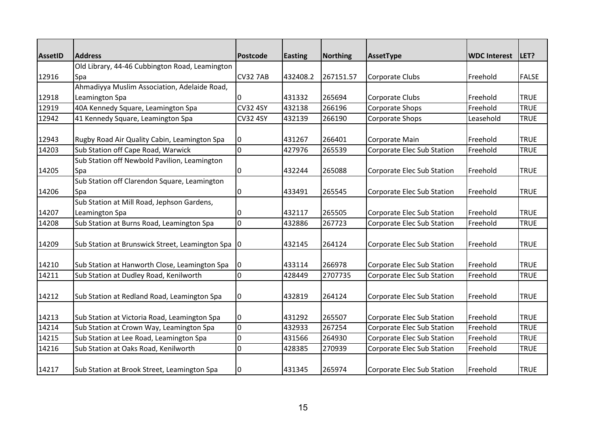| <b>AssetID</b> | <b>Address</b>                                      | <b>Postcode</b> | <b>Easting</b> | Northing  | AssetType                  | <b>WDC Interest</b> | LET?         |
|----------------|-----------------------------------------------------|-----------------|----------------|-----------|----------------------------|---------------------|--------------|
|                | Old Library, 44-46 Cubbington Road, Leamington      |                 |                |           |                            |                     |              |
| 12916          | Spa                                                 | <b>CV32 7AB</b> | 432408.2       | 267151.57 | Corporate Clubs            | Freehold            | <b>FALSE</b> |
|                | Ahmadiyya Muslim Association, Adelaide Road,        |                 |                |           |                            |                     |              |
| 12918          | Leamington Spa                                      |                 | 431332         | 265694    | Corporate Clubs            | Freehold            | <b>TRUE</b>  |
| 12919          | 40A Kennedy Square, Leamington Spa                  | <b>CV32 4SY</b> | 432138         | 266196    | Corporate Shops            | Freehold            | <b>TRUE</b>  |
| 12942          | 41 Kennedy Square, Leamington Spa                   | <b>CV32 4SY</b> | 432139         | 266190    | Corporate Shops            | Leasehold           | <b>TRUE</b>  |
| 12943          | Rugby Road Air Quality Cabin, Leamington Spa        | 0               | 431267         | 266401    | Corporate Main             | Freehold            | <b>TRUE</b>  |
| 14203          | Sub Station off Cape Road, Warwick                  | l0              | 427976         | 265539    | Corporate Elec Sub Station | Freehold            | <b>TRUE</b>  |
|                | Sub Station off Newbold Pavilion, Leamington        |                 |                |           |                            |                     |              |
| 14205          | <b>Spa</b>                                          | 10              | 432244         | 265088    | Corporate Elec Sub Station | Freehold            | <b>TRUE</b>  |
|                | Sub Station off Clarendon Square, Leamington        |                 |                |           |                            |                     |              |
| 14206          | Spa                                                 | 0               | 433491         | 265545    | Corporate Elec Sub Station | Freehold            | <b>TRUE</b>  |
|                | Sub Station at Mill Road, Jephson Gardens,          |                 |                |           |                            |                     |              |
| 14207          | Leamington Spa                                      | 0               | 432117         | 265505    | Corporate Elec Sub Station | Freehold            | <b>TRUE</b>  |
| 14208          | Sub Station at Burns Road, Leamington Spa           | l0              | 432886         | 267723    | Corporate Elec Sub Station | Freehold            | <b>TRUE</b>  |
| 14209          | Sub Station at Brunswick Street, Leamington Spa   0 |                 | 432145         | 264124    | Corporate Elec Sub Station | Freehold            | <b>TRUE</b>  |
| 14210          | Sub Station at Hanworth Close, Leamington Spa       | I0              | 433114         | 266978    | Corporate Elec Sub Station | Freehold            | <b>TRUE</b>  |
| 14211          | Sub Station at Dudley Road, Kenilworth              | l0              | 428449         | 2707735   | Corporate Elec Sub Station | Freehold            | <b>TRUE</b>  |
| 14212          | Sub Station at Redland Road, Leamington Spa         | 0               | 432819         | 264124    | Corporate Elec Sub Station | Freehold            | <b>TRUE</b>  |
| 14213          | Sub Station at Victoria Road, Leamington Spa        | IO.             | 431292         | 265507    | Corporate Elec Sub Station | Freehold            | <b>TRUE</b>  |
| 14214          | Sub Station at Crown Way, Leamington Spa            | $\overline{0}$  | 432933         | 267254    | Corporate Elec Sub Station | Freehold            | <b>TRUE</b>  |
| 14215          | Sub Station at Lee Road, Leamington Spa             | $\overline{0}$  | 431566         | 264930    | Corporate Elec Sub Station | Freehold            | <b>TRUE</b>  |
| 14216          | Sub Station at Oaks Road, Kenilworth                | l0              | 428385         | 270939    | Corporate Elec Sub Station | Freehold            | <b>TRUE</b>  |
| 14217          | Sub Station at Brook Street, Leamington Spa         | I0              | 431345         | 265974    | Corporate Elec Sub Station | Freehold            | <b>TRUE</b>  |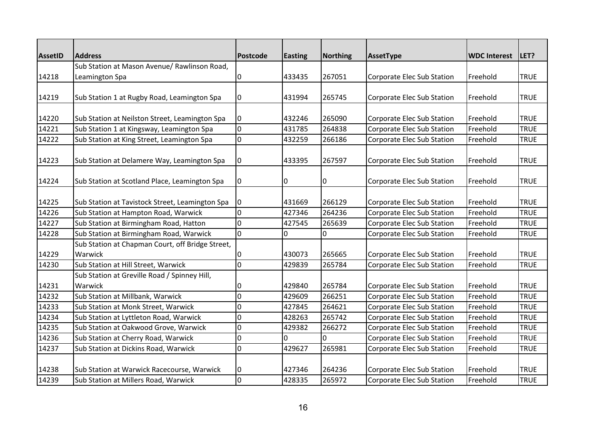| <b>AssetID</b> | <b>Address</b>                                              | Postcode       |                | <b>Northing</b> | AssetType                         | <b>WDC Interest</b> | LET?        |
|----------------|-------------------------------------------------------------|----------------|----------------|-----------------|-----------------------------------|---------------------|-------------|
|                | Sub Station at Mason Avenue/ Rawlinson Road,                |                | <b>Easting</b> |                 |                                   |                     |             |
| 14218          | Leamington Spa                                              | 0              | 433435         | 267051          | Corporate Elec Sub Station        | Freehold            | <b>TRUE</b> |
|                |                                                             |                |                |                 |                                   |                     |             |
| 14219          | Sub Station 1 at Rugby Road, Leamington Spa                 | $\mathbf 0$    | 431994         | 265745          | Corporate Elec Sub Station        | Freehold            | <b>TRUE</b> |
|                |                                                             |                |                |                 |                                   |                     |             |
| 14220          | Sub Station at Neilston Street, Leamington Spa              | 0              | 432246         | 265090          | Corporate Elec Sub Station        | Freehold            | <b>TRUE</b> |
| 14221          | Sub Station 1 at Kingsway, Leamington Spa                   | $\overline{0}$ | 431785         | 264838          | <b>Corporate Elec Sub Station</b> | Freehold            | <b>TRUE</b> |
| 14222          | Sub Station at King Street, Leamington Spa                  | $\mathbf 0$    | 432259         | 266186          | Corporate Elec Sub Station        | Freehold            | <b>TRUE</b> |
| 14223          | Sub Station at Delamere Way, Leamington Spa                 | 0              | 433395         | 267597          | Corporate Elec Sub Station        | Freehold            | <b>TRUE</b> |
| 14224          | Sub Station at Scotland Place, Leamington Spa               | 0              | 10             | 0               | Corporate Elec Sub Station        | Freehold            | <b>TRUE</b> |
| 14225          | Sub Station at Tavistock Street, Leamington Spa             | 0              | 431669         | 266129          | Corporate Elec Sub Station        | Freehold            | <b>TRUE</b> |
| 14226          | Sub Station at Hampton Road, Warwick                        | l0             | 427346         | 264236          | <b>Corporate Elec Sub Station</b> | Freehold            | <b>TRUE</b> |
| 14227          | Sub Station at Birmingham Road, Hatton                      | $\overline{0}$ | 427545         | 265639          | Corporate Elec Sub Station        | Freehold            | <b>TRUE</b> |
| 14228          | Sub Station at Birmingham Road, Warwick                     | $\overline{0}$ | $\overline{0}$ | 0               | Corporate Elec Sub Station        | Freehold            | <b>TRUE</b> |
| 14229          | Sub Station at Chapman Court, off Bridge Street,<br>Warwick | 0              | 430073         | 265665          | <b>Corporate Elec Sub Station</b> | Freehold            | <b>TRUE</b> |
| 14230          | Sub Station at Hill Street, Warwick                         | $\overline{0}$ | 429839         | 265784          | Corporate Elec Sub Station        | Freehold            | <b>TRUE</b> |
|                | Sub Station at Greville Road / Spinney Hill,                |                |                |                 |                                   |                     |             |
| 14231          | Warwick                                                     | 0              | 429840         | 265784          | Corporate Elec Sub Station        | Freehold            | <b>TRUE</b> |
| 14232          | Sub Station at Millbank, Warwick                            | 0              | 429609         | 266251          | Corporate Elec Sub Station        | Freehold            | <b>TRUE</b> |
| 14233          | Sub Station at Monk Street, Warwick                         | $\mathbf 0$    | 427845         | 264621          | Corporate Elec Sub Station        | Freehold            | <b>TRUE</b> |
| 14234          | Sub Station at Lyttleton Road, Warwick                      | $\overline{0}$ | 428263         | 265742          | Corporate Elec Sub Station        | Freehold            | <b>TRUE</b> |
| 14235          | Sub Station at Oakwood Grove, Warwick                       | 0              | 429382         | 266272          | Corporate Elec Sub Station        | Freehold            | <b>TRUE</b> |
| 14236          | Sub Station at Cherry Road, Warwick                         | 0              | U              | $\Omega$        | Corporate Elec Sub Station        | Freehold            | <b>TRUE</b> |
| 14237          | Sub Station at Dickins Road, Warwick                        | $\mathbf 0$    | 429627         | 265981          | Corporate Elec Sub Station        | Freehold            | <b>TRUE</b> |
| 14238          | Sub Station at Warwick Racecourse, Warwick                  | 0              | 427346         | 264236          | Corporate Elec Sub Station        | Freehold            | <b>TRUE</b> |
| 14239          | Sub Station at Millers Road, Warwick                        | $\overline{0}$ | 428335         | 265972          | <b>Corporate Elec Sub Station</b> | Freehold            | <b>TRUE</b> |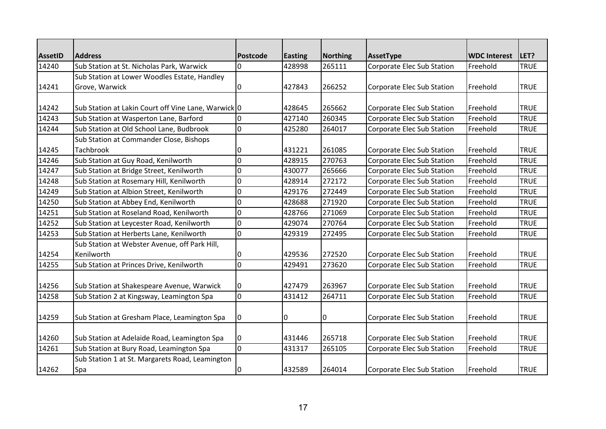| <b>AssetID</b> | <b>Address</b>                                                | <b>Postcode</b> | <b>Easting</b> | Northing | AssetType                         | <b>WDC Interest</b> | <b>ILET?</b> |
|----------------|---------------------------------------------------------------|-----------------|----------------|----------|-----------------------------------|---------------------|--------------|
| 14240          | Sub Station at St. Nicholas Park, Warwick                     | $\Omega$        | 428998         | 265111   | <b>Corporate Elec Sub Station</b> | Freehold            | <b>TRUE</b>  |
|                | Sub Station at Lower Woodles Estate, Handley                  |                 |                |          |                                   |                     |              |
| 14241          | Grove, Warwick                                                | 0               | 427843         | 266252   | Corporate Elec Sub Station        | Freehold            | <b>TRUE</b>  |
| 14242          | Sub Station at Lakin Court off Vine Lane, Warwick 0           |                 | 428645         | 265662   | Corporate Elec Sub Station        | <b>Freehold</b>     | <b>TRUE</b>  |
| 14243          | Sub Station at Wasperton Lane, Barford                        | $\mathbf 0$     | 427140         | 260345   | Corporate Elec Sub Station        | Freehold            | <b>TRUE</b>  |
| 14244          | Sub Station at Old School Lane, Budbrook                      | 0               | 425280         | 264017   | Corporate Elec Sub Station        | Freehold            | <b>TRUE</b>  |
|                | Sub Station at Commander Close, Bishops                       |                 |                |          |                                   |                     |              |
| 14245          | <b>Tachbrook</b>                                              | 0               | 431221         | 261085   | Corporate Elec Sub Station        | Freehold            | <b>TRUE</b>  |
| 14246          | Sub Station at Guy Road, Kenilworth                           | $\overline{0}$  | 428915         | 270763   | Corporate Elec Sub Station        | Freehold            | <b>TRUE</b>  |
| 14247          | Sub Station at Bridge Street, Kenilworth                      | 0               | 430077         | 265666   | Corporate Elec Sub Station        | Freehold            | <b>TRUE</b>  |
| 14248          | Sub Station at Rosemary Hill, Kenilworth                      | $\Omega$        | 428914         | 272172   | Corporate Elec Sub Station        | Freehold            | <b>TRUE</b>  |
| 14249          | Sub Station at Albion Street, Kenilworth                      | $\mathbf 0$     | 429176         | 272449   | Corporate Elec Sub Station        | Freehold            | <b>TRUE</b>  |
| 14250          | Sub Station at Abbey End, Kenilworth                          | $\mathbf 0$     | 428688         | 271920   | Corporate Elec Sub Station        | Freehold            | <b>TRUE</b>  |
| 14251          | Sub Station at Roseland Road, Kenilworth                      | 0               | 428766         | 271069   | Corporate Elec Sub Station        | Freehold            | <b>TRUE</b>  |
| 14252          | Sub Station at Leycester Road, Kenilworth                     | $\overline{0}$  | 429074         | 270764   | Corporate Elec Sub Station        | Freehold            | <b>TRUE</b>  |
| 14253          | Sub Station at Herberts Lane, Kenilworth                      | $\overline{0}$  | 429319         | 272495   | Corporate Elec Sub Station        | Freehold            | <b>TRUE</b>  |
| 14254          | Sub Station at Webster Avenue, off Park Hill,<br>Kenilworth   | 0               | 429536         | 272520   | Corporate Elec Sub Station        | <b>IFreehold</b>    | <b>TRUE</b>  |
| 14255          | Sub Station at Princes Drive, Kenilworth                      | 0               | 429491         | 273620   | Corporate Elec Sub Station        | Freehold            | <b>TRUE</b>  |
| 14256          | Sub Station at Shakespeare Avenue, Warwick                    | 0               | 427479         | 263967   | Corporate Elec Sub Station        | Freehold            | <b>TRUE</b>  |
| 14258          | Sub Station 2 at Kingsway, Leamington Spa                     | $\overline{0}$  | 431412         | 264711   | Corporate Elec Sub Station        | Freehold            | <b>TRUE</b>  |
| 14259          | Sub Station at Gresham Place, Leamington Spa                  | 0               | 0              | 0        | Corporate Elec Sub Station        | Freehold            | <b>TRUE</b>  |
| 14260          | Sub Station at Adelaide Road, Leamington Spa                  | 0               | 431446         | 265718   | Corporate Elec Sub Station        | Freehold            | <b>TRUE</b>  |
| 14261          | Sub Station at Bury Road, Leamington Spa                      | $\overline{0}$  | 431317         | 265105   | Corporate Elec Sub Station        | Freehold            | <b>TRUE</b>  |
| 14262          | Sub Station 1 at St. Margarets Road, Leamington<br><b>Spa</b> | 0               | 432589         | 264014   | Corporate Elec Sub Station        | Freehold            | <b>TRUE</b>  |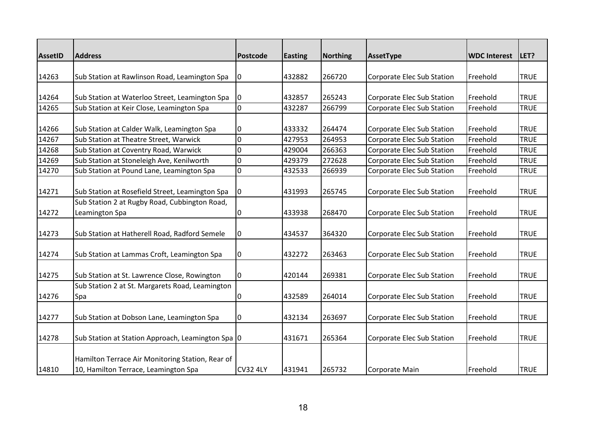| <b>AssetID</b> | <b>Address</b>                                                                           | <b>Postcode</b> | <b>Easting</b> | <b>Northing</b> | AssetType                         | <b>WDC Interest</b> | LET?        |
|----------------|------------------------------------------------------------------------------------------|-----------------|----------------|-----------------|-----------------------------------|---------------------|-------------|
|                |                                                                                          |                 |                |                 |                                   |                     |             |
| 14263          | Sub Station at Rawlinson Road, Leamington Spa                                            | 0               | 432882         | 266720          | Corporate Elec Sub Station        | Freehold            | <b>TRUE</b> |
| 14264          | Sub Station at Waterloo Street, Leamington Spa                                           | 0               | 432857         | 265243          | Corporate Elec Sub Station        | Freehold            | <b>TRUE</b> |
| 14265          | Sub Station at Keir Close, Leamington Spa                                                | $\overline{0}$  | 432287         | 266799          | Corporate Elec Sub Station        | Freehold            | <b>TRUE</b> |
| 14266          | Sub Station at Calder Walk, Leamington Spa                                               | 0               | 433332         | 264474          | Corporate Elec Sub Station        | Freehold            | <b>TRUE</b> |
| 14267          | Sub Station at Theatre Street, Warwick                                                   | $\overline{0}$  | 427953         | 264953          | <b>Corporate Elec Sub Station</b> | Freehold            | <b>TRUE</b> |
| 14268          | Sub Station at Coventry Road, Warwick                                                    | $\mathbf 0$     | 429004         | 266363          | Corporate Elec Sub Station        | Freehold            | <b>TRUE</b> |
| 14269          | Sub Station at Stoneleigh Ave, Kenilworth                                                | $\overline{0}$  | 429379         | 272628          | <b>Corporate Elec Sub Station</b> | Freehold            | <b>TRUE</b> |
| 14270          | Sub Station at Pound Lane, Leamington Spa                                                | $\mathbf 0$     | 432533         | 266939          | Corporate Elec Sub Station        | Freehold            | <b>TRUE</b> |
| 14271          | Sub Station at Rosefield Street, Leamington Spa                                          | 0               | 431993         | 265745          | Corporate Elec Sub Station        | Freehold            | <b>TRUE</b> |
|                | Sub Station 2 at Rugby Road, Cubbington Road,                                            |                 |                |                 |                                   |                     |             |
| 14272          | Leamington Spa                                                                           | 0               | 433938         | 268470          | Corporate Elec Sub Station        | Freehold            | <b>TRUE</b> |
| 14273          | Sub Station at Hatherell Road, Radford Semele                                            | 0               | 434537         | 364320          | Corporate Elec Sub Station        | Freehold            | <b>TRUE</b> |
| 14274          | Sub Station at Lammas Croft, Leamington Spa                                              | 0               | 432272         | 263463          | Corporate Elec Sub Station        | Freehold            | <b>TRUE</b> |
| 14275          | Sub Station at St. Lawrence Close, Rowington                                             | $\Omega$        | 420144         | 269381          | Corporate Elec Sub Station        | Freehold            | <b>TRUE</b> |
|                | Sub Station 2 at St. Margarets Road, Leamington                                          |                 |                |                 |                                   |                     |             |
| 14276          | Spa                                                                                      | 0               | 432589         | 264014          | Corporate Elec Sub Station        | Freehold            | <b>TRUE</b> |
| 14277          | Sub Station at Dobson Lane, Leamington Spa                                               | 0               | 432134         | 263697          | Corporate Elec Sub Station        | Freehold            | <b>TRUE</b> |
| 14278          | Sub Station at Station Approach, Leamington Spa 0                                        |                 | 431671         | 265364          | Corporate Elec Sub Station        | Freehold            | <b>TRUE</b> |
| 14810          | Hamilton Terrace Air Monitoring Station, Rear of<br>10, Hamilton Terrace, Leamington Spa | <b>CV32 4LY</b> | 431941         | 265732          | Corporate Main                    | Freehold            | <b>TRUE</b> |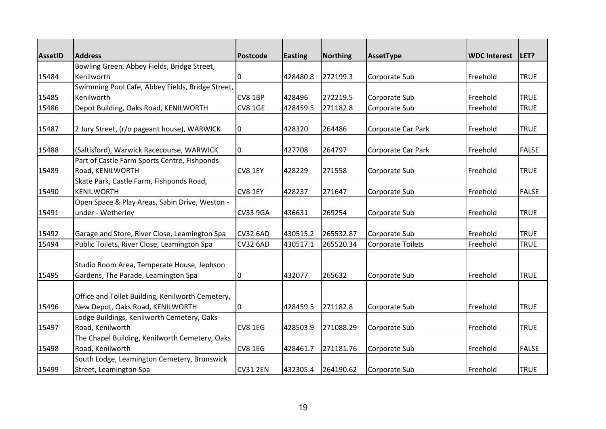| <b>AssetID</b> | <b>Address</b>                                                                       | <b>Postcode</b> | <b>Easting</b> | <b>Northing</b> | AssetType          | <b>WDC Interest</b> | LET?         |
|----------------|--------------------------------------------------------------------------------------|-----------------|----------------|-----------------|--------------------|---------------------|--------------|
|                | Bowling Green, Abbey Fields, Bridge Street,                                          |                 |                |                 |                    |                     |              |
| 15484          | Kenilworth                                                                           | 0               | 428480.8       | 272199.3        | Corporate Sub      | Freehold            | <b>TRUE</b>  |
|                | Swimming Pool Cafe, Abbey Fields, Bridge Street,                                     |                 |                |                 |                    |                     |              |
| 15485          | Kenilworth                                                                           | CV8 1BP         | 428496         | 272219.5        | Corporate Sub      | Freehold            | <b>TRUE</b>  |
| 15486          | Depot Building, Oaks Road, KENILWORTH                                                | <b>CV8 1GE</b>  | 428459.5       | 271182.8        | Corporate Sub      | Freehold            | <b>TRUE</b>  |
| 15487          | 2 Jury Street, (r/o pageant house), WARWICK                                          | 0               | 428320         | 264486          | Corporate Car Park | Freehold            | <b>TRUE</b>  |
| 15488          | (Saltisford), Warwick Racecourse, WARWICK                                            | 0               | 427708         | 264797          | Corporate Car Park | Freehold            | <b>FALSE</b> |
| 15489          | Part of Castle Farm Sports Centre, Fishponds<br>Road, KENILWORTH                     | CV8 1EY         | 428229         | 271558          | Corporate Sub      | Freehold            | <b>TRUE</b>  |
| 15490          | Skate Park, Castle Farm, Fishponds Road,<br><b>KENILWORTH</b>                        | CV8 1EY         | 428237         | 271647          | Corporate Sub      | Freehold            | <b>FALSE</b> |
| 15491          | Open Space & Play Areas, Sabin Drive, Weston -<br>under - Wetherley                  | <b>CV33 9GA</b> | 436631         | 269254          | Corporate Sub      | Freehold            | <b>TRUE</b>  |
| 15492          | Garage and Store, River Close, Leamington Spa                                        | <b>CV32 6AD</b> | 430515.2       | 265532.87       | Corporate Sub      | Freehold            | <b>TRUE</b>  |
| 15494          | Public Toilets, River Close, Leamington Spa                                          | <b>CV32 6AD</b> | 430517.1       | 265520.34       | Corporate Toilets  | Freehold            | <b>TRUE</b>  |
| 15495          | Studio Room Area, Temperate House, Jephson<br>Gardens, The Parade, Leamington Spa    | 0               | 432077         | 265632          | Corporate Sub      | Freehold            | <b>TRUE</b>  |
| 15496          | Office and Toilet Building, Kenilworth Cemetery,<br>New Depot, Oaks Road, KENILWORTH | 0               | 428459.5       | 271182.8        | Corporate Sub      | Freehold            | <b>TRUE</b>  |
|                | Lodge Buildings, Kenilworth Cemetery, Oaks                                           |                 |                |                 |                    |                     |              |
| 15497          | Road, Kenilworth                                                                     | CV8 1EG         | 428503.9       | 271088.29       | Corporate Sub      | Freehold            | <b>TRUE</b>  |
|                | The Chapel Building, Kenilworth Cemetery, Oaks                                       |                 |                |                 |                    |                     |              |
| 15498          | Road, Kenilworth                                                                     | CV8 1EG         | 428461.7       | 271181.76       | Corporate Sub      | Freehold            | <b>FALSE</b> |
| 15499          | South Lodge, Leamington Cemetery, Brunswick<br>Street, Leamington Spa                | <b>CV31 2EN</b> | 432305.4       | 264190.62       | Corporate Sub      | Freehold            | <b>TRUE</b>  |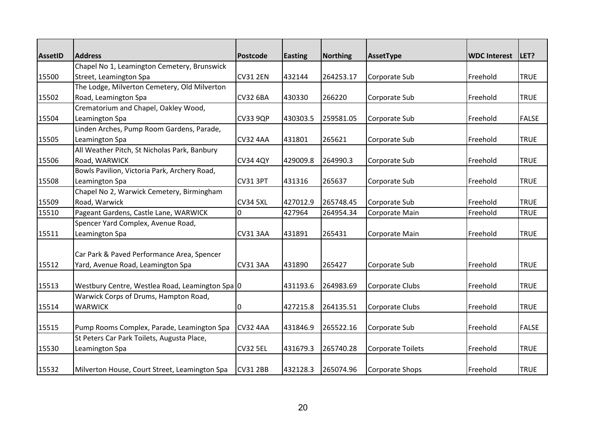| <b>AssetID</b> | <b>Address</b>                                  | <b>Postcode</b> | <b>Easting</b> | Northing  | AssetType                | <b>WDC Interest</b> | LET?         |
|----------------|-------------------------------------------------|-----------------|----------------|-----------|--------------------------|---------------------|--------------|
|                | Chapel No 1, Leamington Cemetery, Brunswick     |                 |                |           |                          |                     |              |
| 15500          | Street, Leamington Spa                          | <b>CV31 2EN</b> | 432144         | 264253.17 | Corporate Sub            | Freehold            | <b>TRUE</b>  |
|                | The Lodge, Milverton Cemetery, Old Milverton    |                 |                |           |                          |                     |              |
| 15502          | Road, Leamington Spa                            | <b>CV32 6BA</b> | 430330         | 266220    | Corporate Sub            | Freehold            | <b>TRUE</b>  |
|                | Crematorium and Chapel, Oakley Wood,            |                 |                |           |                          |                     |              |
| 15504          | Leamington Spa                                  | <b>CV33 9QP</b> | 430303.5       | 259581.05 | Corporate Sub            | Freehold            | <b>FALSE</b> |
|                | Linden Arches, Pump Room Gardens, Parade,       |                 |                |           |                          |                     |              |
| 15505          | Leamington Spa                                  | <b>CV32 4AA</b> | 431801         | 265621    | Corporate Sub            | Freehold            | <b>TRUE</b>  |
|                | All Weather Pitch, St Nicholas Park, Banbury    |                 |                |           |                          |                     |              |
| 15506          | Road, WARWICK                                   | <b>CV34 4QY</b> | 429009.8       | 264990.3  | Corporate Sub            | Freehold            | <b>TRUE</b>  |
|                | Bowls Pavilion, Victoria Park, Archery Road,    |                 |                |           |                          |                     |              |
| 15508          | Leamington Spa                                  | <b>CV31 3PT</b> | 431316         | 265637    | Corporate Sub            | Freehold            | <b>TRUE</b>  |
|                | Chapel No 2, Warwick Cemetery, Birmingham       |                 |                |           |                          |                     |              |
| 15509          | Road, Warwick                                   | <b>CV34 5XL</b> | 427012.9       | 265748.45 | Corporate Sub            | Freehold            | <b>TRUE</b>  |
| 15510          | Pageant Gardens, Castle Lane, WARWICK           | $\Omega$        | 427964         | 264954.34 | Corporate Main           | Freehold            | <b>TRUE</b>  |
|                | Spencer Yard Complex, Avenue Road,              |                 |                |           |                          |                     |              |
| 15511          | Leamington Spa                                  | <b>CV31 3AA</b> | 431891         | 265431    | Corporate Main           | Freehold            | <b>TRUE</b>  |
|                |                                                 |                 |                |           |                          |                     |              |
|                | Car Park & Paved Performance Area, Spencer      |                 |                |           |                          |                     |              |
| 15512          | Yard, Avenue Road, Leamington Spa               | <b>CV31 3AA</b> | 431890         | 265427    | Corporate Sub            | Freehold            | <b>TRUE</b>  |
| 15513          | Westbury Centre, Westlea Road, Leamington Spa 0 |                 | 431193.6       | 264983.69 | Corporate Clubs          | Freehold            | <b>TRUE</b>  |
|                | Warwick Corps of Drums, Hampton Road,           |                 |                |           |                          |                     |              |
| 15514          | <b>WARWICK</b>                                  | 0               | 427215.8       | 264135.51 | Corporate Clubs          | Freehold            | <b>TRUE</b>  |
|                |                                                 |                 |                |           |                          |                     |              |
| 15515          | Pump Rooms Complex, Parade, Leamington Spa      | <b>CV32 4AA</b> | 431846.9       | 265522.16 | Corporate Sub            | Freehold            | <b>FALSE</b> |
|                | St Peters Car Park Toilets, Augusta Place,      |                 |                |           |                          |                     |              |
| 15530          | Leamington Spa                                  | <b>CV32 5EL</b> | 431679.3       | 265740.28 | <b>Corporate Toilets</b> | Freehold            | <b>TRUE</b>  |
| 15532          | Milverton House, Court Street, Leamington Spa   | <b>CV31 2BB</b> | 432128.3       | 265074.96 | Corporate Shops          | Freehold            | <b>TRUE</b>  |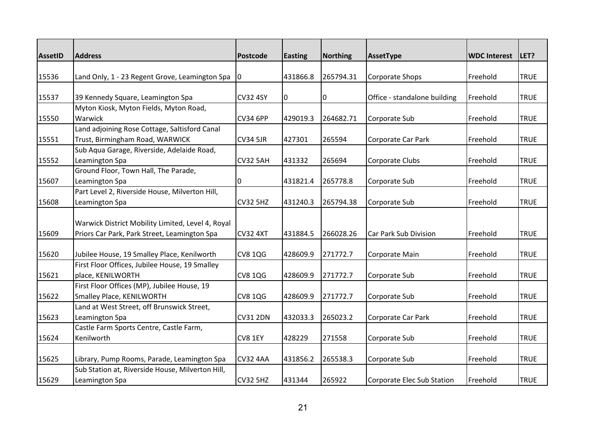| <b>AssetID</b> | <b>Address</b>                                    | <b>Postcode</b> | <b>Easting</b> | <b>Northing</b> | AssetType                    | <b>WDC Interest</b> | LET?        |
|----------------|---------------------------------------------------|-----------------|----------------|-----------------|------------------------------|---------------------|-------------|
|                |                                                   |                 |                |                 |                              |                     |             |
| 15536          | Land Only, 1 - 23 Regent Grove, Leamington Spa    | 0               | 431866.8       | 265794.31       | <b>Corporate Shops</b>       | Freehold            | <b>TRUE</b> |
|                |                                                   |                 |                |                 |                              |                     |             |
| 15537          | 39 Kennedy Square, Leamington Spa                 | <b>CV32 4SY</b> | 10             | 0               | Office - standalone building | Freehold            | <b>TRUE</b> |
|                | Myton Kiosk, Myton Fields, Myton Road,            |                 |                |                 |                              |                     |             |
| 15550          | Warwick                                           | <b>CV34 6PP</b> | 429019.3       | 264682.71       | Corporate Sub                | Freehold            | <b>TRUE</b> |
|                | Land adjoining Rose Cottage, Saltisford Canal     |                 |                |                 |                              |                     |             |
| 15551          | Trust, Birmingham Road, WARWICK                   | <b>CV34 5JR</b> | 427301         | 265594          | Corporate Car Park           | Freehold            | <b>TRUE</b> |
|                | Sub Aqua Garage, Riverside, Adelaide Road,        |                 |                |                 |                              |                     |             |
| 15552          | Leamington Spa                                    | <b>CV32 5AH</b> | 431332         | 265694          | Corporate Clubs              | Freehold            | <b>TRUE</b> |
|                | Ground Floor, Town Hall, The Parade,              |                 |                |                 |                              |                     |             |
| 15607          | Leamington Spa                                    | 0               | 431821.4       | 265778.8        | Corporate Sub                | Freehold            | <b>TRUE</b> |
|                | Part Level 2, Riverside House, Milverton Hill,    |                 |                |                 |                              |                     |             |
| 15608          | Leamington Spa                                    | <b>CV32 5HZ</b> | 431240.3       | 265794.38       | Corporate Sub                | Freehold            | <b>TRUE</b> |
|                |                                                   |                 |                |                 |                              |                     |             |
|                | Warwick District Mobility Limited, Level 4, Royal |                 |                |                 |                              |                     |             |
| 15609          | Priors Car Park, Park Street, Leamington Spa      | <b>CV32 4XT</b> | 431884.5       | 266028.26       | Car Park Sub Division        | Freehold            | <b>TRUE</b> |
| 15620          | Jubilee House, 19 Smalley Place, Kenilworth       | <b>CV8 1QG</b>  | 428609.9       | 271772.7        | Corporate Main               | Freehold            | <b>TRUE</b> |
|                | First Floor Offices, Jubilee House, 19 Smalley    |                 |                |                 |                              |                     |             |
| 15621          | place, KENILWORTH                                 | <b>CV8 1QG</b>  | 428609.9       | 271772.7        | Corporate Sub                | Freehold            | <b>TRUE</b> |
|                | First Floor Offices (MP), Jubilee House, 19       |                 |                |                 |                              |                     |             |
| 15622          | Smalley Place, KENILWORTH                         | <b>CV8 1QG</b>  | 428609.9       | 271772.7        | Corporate Sub                | Freehold            | <b>TRUE</b> |
|                | Land at West Street, off Brunswick Street,        |                 |                |                 |                              |                     |             |
| 15623          | Leamington Spa                                    | <b>CV31 2DN</b> | 432033.3       | 265023.2        | Corporate Car Park           | Freehold            | <b>TRUE</b> |
|                | Castle Farm Sports Centre, Castle Farm,           |                 |                |                 |                              |                     |             |
| 15624          | Kenilworth                                        | CV8 1EY         | 428229         | 271558          | Corporate Sub                | Freehold            | <b>TRUE</b> |
|                |                                                   |                 |                |                 |                              |                     |             |
| 15625          | Library, Pump Rooms, Parade, Leamington Spa       | <b>CV32 4AA</b> | 431856.2       | 265538.3        | Corporate Sub                | Freehold            | <b>TRUE</b> |
|                | Sub Station at, Riverside House, Milverton Hill,  |                 |                |                 |                              |                     |             |
| 15629          | Leamington Spa                                    | <b>CV32 5HZ</b> | 431344         | 265922          | Corporate Elec Sub Station   | Freehold            | <b>TRUE</b> |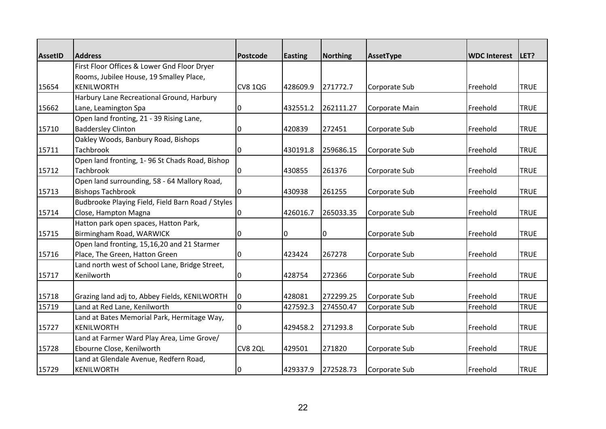| <b>AssetID</b> | <b>Address</b>                                    | <b>Postcode</b> | <b>Easting</b> | Northing  | AssetType      | <b>WDC Interest</b> | LET?        |
|----------------|---------------------------------------------------|-----------------|----------------|-----------|----------------|---------------------|-------------|
|                | First Floor Offices & Lower Gnd Floor Dryer       |                 |                |           |                |                     |             |
|                | Rooms, Jubilee House, 19 Smalley Place,           |                 |                |           |                |                     |             |
| 15654          | KENILWORTH                                        | <b>CV8 1QG</b>  | 428609.9       | 271772.7  | Corporate Sub  | Freehold            | <b>TRUE</b> |
|                | Harbury Lane Recreational Ground, Harbury         |                 |                |           |                |                     |             |
| 15662          | Lane, Leamington Spa                              | 0               | 432551.2       | 262111.27 | Corporate Main | Freehold            | <b>TRUE</b> |
|                | Open land fronting, 21 - 39 Rising Lane,          |                 |                |           |                |                     |             |
| 15710          | <b>Baddersley Clinton</b>                         | 0               | 420839         | 272451    | Corporate Sub  | Freehold            | <b>TRUE</b> |
|                | Oakley Woods, Banbury Road, Bishops               |                 |                |           |                |                     |             |
| 15711          | Tachbrook                                         | 0               | 430191.8       | 259686.15 | Corporate Sub  | Freehold            | <b>TRUE</b> |
|                | Open land fronting, 1-96 St Chads Road, Bishop    |                 |                |           |                |                     |             |
| 15712          | <b>Tachbrook</b>                                  | 0               | 430855         | 261376    | Corporate Sub  | Freehold            | <b>TRUE</b> |
|                | Open land surrounding, 58 - 64 Mallory Road,      |                 |                |           |                |                     |             |
| 15713          | <b>Bishops Tachbrook</b>                          | 0               | 430938         | 261255    | Corporate Sub  | Freehold            | <b>TRUE</b> |
|                | Budbrooke Playing Field, Field Barn Road / Styles |                 |                |           |                |                     |             |
| 15714          | Close, Hampton Magna                              | $\Omega$        | 426016.7       | 265033.35 | Corporate Sub  | Freehold            | <b>TRUE</b> |
|                | Hatton park open spaces, Hatton Park,             |                 |                |           |                |                     |             |
| 15715          | Birmingham Road, WARWICK                          | 0               | 0              | 0         | Corporate Sub  | Freehold            | <b>TRUE</b> |
|                | Open land fronting, 15,16,20 and 21 Starmer       |                 |                |           |                |                     |             |
| 15716          | Place, The Green, Hatton Green                    | 0               | 423424         | 267278    | Corporate Sub  | Freehold            | <b>TRUE</b> |
|                | Land north west of School Lane, Bridge Street,    |                 |                |           |                |                     |             |
| 15717          | Kenilworth                                        | 0               | 428754         | 272366    | Corporate Sub  | Freehold            | <b>TRUE</b> |
|                |                                                   |                 |                |           |                |                     |             |
| 15718          | Grazing land adj to, Abbey Fields, KENILWORTH     | 0               | 428081         | 272299.25 | Corporate Sub  | Freehold            | <b>TRUE</b> |
| 15719          | Land at Red Lane, Kenilworth                      | $\overline{0}$  | 427592.3       | 274550.47 | Corporate Sub  | Freehold            | <b>TRUE</b> |
|                | Land at Bates Memorial Park, Hermitage Way,       |                 |                |           |                |                     |             |
| 15727          | <b>KENILWORTH</b>                                 | 0               | 429458.2       | 271293.8  | Corporate Sub  | Freehold            | <b>TRUE</b> |
|                | Land at Farmer Ward Play Area, Lime Grove/        |                 |                |           |                |                     |             |
| 15728          | Ebourne Close, Kenilworth                         | CV8 2QL         | 429501         | 271820    | Corporate Sub  | Freehold            | <b>TRUE</b> |
|                | Land at Glendale Avenue, Redfern Road,            |                 |                |           |                |                     |             |
| 15729          | KENILWORTH                                        | 0               | 429337.9       | 272528.73 | Corporate Sub  | Freehold            | <b>TRUE</b> |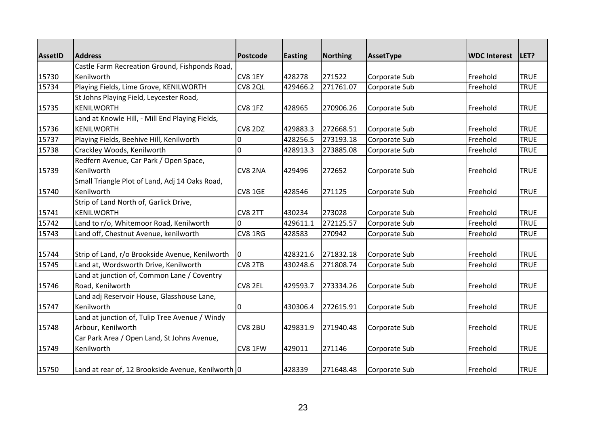| <b>AssetID</b> | <b>Address</b>                                               | <b>Postcode</b>    | Easting            | Northing            | AssetType     | <b>WDC Interest</b>  | <b>ILET?</b>               |
|----------------|--------------------------------------------------------------|--------------------|--------------------|---------------------|---------------|----------------------|----------------------------|
|                | Castle Farm Recreation Ground, Fishponds Road,               |                    |                    |                     |               |                      |                            |
| 15730<br>15734 | Kenilworth<br>Playing Fields, Lime Grove, KENILWORTH         | CV8 1EY<br>CV8 2QL | 428278<br>429466.2 | 271522<br>271761.07 | Corporate Sub | Freehold<br>Freehold | <b>TRUE</b><br><b>TRUE</b> |
|                |                                                              |                    |                    |                     | Corporate Sub |                      |                            |
|                | St Johns Playing Field, Leycester Road,<br><b>KENILWORTH</b> |                    |                    | 270906.26           |               |                      | <b>TRUE</b>                |
| 15735          | Land at Knowle Hill, - Mill End Playing Fields,              | CV8 1FZ            | 428965             |                     | Corporate Sub | Freehold             |                            |
| 15736          | <b>KENILWORTH</b>                                            | CV8 2DZ            | 429883.3           | 272668.51           | Corporate Sub | Freehold             | <b>TRUE</b>                |
| 15737          | Playing Fields, Beehive Hill, Kenilworth                     | $\Omega$           | 428256.5           | 273193.18           | Corporate Sub | Freehold             | <b>TRUE</b>                |
| 15738          | Crackley Woods, Kenilworth                                   | $\overline{0}$     | 428913.3           | 273885.08           | Corporate Sub | Freehold             | <b>TRUE</b>                |
|                | Redfern Avenue, Car Park / Open Space,                       |                    |                    |                     |               |                      |                            |
| 15739          | Kenilworth                                                   | CV8 2NA            | 429496             | 272652              | Corporate Sub | Freehold             | <b>TRUE</b>                |
|                | Small Triangle Plot of Land, Adj 14 Oaks Road,               |                    |                    |                     |               |                      |                            |
| 15740          | Kenilworth                                                   | <b>CV8 1GE</b>     | 428546             | 271125              | Corporate Sub | Freehold             | <b>TRUE</b>                |
|                | Strip of Land North of, Garlick Drive,                       |                    |                    |                     |               |                      |                            |
| 15741          | <b>KENILWORTH</b>                                            | CV8 2TT            | 430234             | 273028              | Corporate Sub | Freehold             | <b>TRUE</b>                |
| 15742          | Land to r/o, Whitemoor Road, Kenilworth                      | $\Omega$           | 429611.1           | 272125.57           | Corporate Sub | Freehold             | <b>TRUE</b>                |
| 15743          | Land off, Chestnut Avenue, kenilworth                        | CV8 1RG            | 428583             | 270942              | Corporate Sub | Freehold             | <b>TRUE</b>                |
|                |                                                              |                    |                    |                     |               |                      |                            |
| 15744          | Strip of Land, r/o Brookside Avenue, Kenilworth              | $\Omega$           | 428321.6           | 271832.18           | Corporate Sub | Freehold             | <b>TRUE</b>                |
| 15745          | Land at, Wordsworth Drive, Kenilworth                        | CV8 2TB            | 430248.6           | 271808.74           | Corporate Sub | Freehold             | <b>TRUE</b>                |
|                | Land at junction of, Common Lane / Coventry                  |                    |                    |                     |               |                      |                            |
| 15746          | Road, Kenilworth                                             | CV8 2EL            | 429593.7           | 273334.26           | Corporate Sub | Freehold             | <b>TRUE</b>                |
|                | Land adj Reservoir House, Glasshouse Lane,                   |                    |                    |                     |               |                      |                            |
| 15747          | Kenilworth                                                   | 0                  | 430306.4           | 272615.91           | Corporate Sub | Freehold             | <b>TRUE</b>                |
|                | Land at junction of, Tulip Tree Avenue / Windy               |                    |                    |                     |               |                      |                            |
| 15748          | Arbour, Kenilworth                                           | CV8 2BU            | 429831.9           | 271940.48           | Corporate Sub | Freehold             | <b>TRUE</b>                |
|                | Car Park Area / Open Land, St Johns Avenue,                  |                    |                    |                     |               |                      |                            |
| 15749          | Kenilworth                                                   | CV8 1FW            | 429011             | 271146              | Corporate Sub | Freehold             | <b>TRUE</b>                |
|                |                                                              |                    |                    |                     |               |                      |                            |
| 15750          | Land at rear of, 12 Brookside Avenue, Kenilworth 0           |                    | 428339             | 271648.48           | Corporate Sub | Freehold             | <b>TRUE</b>                |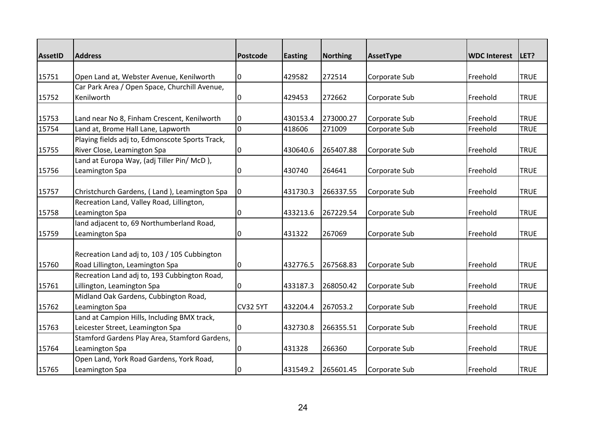| <b>AssetID</b> | <b>Address</b>                                  | <b>Postcode</b> | <b>Easting</b> | <b>Northing</b> | AssetType     | <b>WDC Interest</b> | LET?        |
|----------------|-------------------------------------------------|-----------------|----------------|-----------------|---------------|---------------------|-------------|
|                |                                                 |                 |                |                 |               |                     |             |
| 15751          | Open Land at, Webster Avenue, Kenilworth        | 0               | 429582         | 272514          | Corporate Sub | Freehold            | <b>TRUE</b> |
|                | Car Park Area / Open Space, Churchill Avenue,   |                 |                |                 |               |                     |             |
| 15752          | Kenilworth                                      | 0               | 429453         | 272662          | Corporate Sub | Freehold            | <b>TRUE</b> |
|                |                                                 |                 |                |                 |               |                     |             |
| 15753          | Land near No 8, Finham Crescent, Kenilworth     | 0               | 430153.4       | 273000.27       | Corporate Sub | Freehold            | <b>TRUE</b> |
| 15754          | Land at, Brome Hall Lane, Lapworth              | 0               | 418606         | 271009          | Corporate Sub | Freehold            | <b>TRUE</b> |
|                | Playing fields adj to, Edmonscote Sports Track, |                 |                |                 |               |                     |             |
| 15755          | River Close, Leamington Spa                     | 0               | 430640.6       | 265407.88       | Corporate Sub | Freehold            | <b>TRUE</b> |
|                | Land at Europa Way, (adj Tiller Pin/ McD),      |                 |                |                 |               |                     |             |
| 15756          | Leamington Spa                                  | 0               | 430740         | 264641          | Corporate Sub | Freehold            | <b>TRUE</b> |
|                |                                                 |                 |                |                 |               |                     |             |
| 15757          | Christchurch Gardens, (Land), Leamington Spa    | 0               | 431730.3       | 266337.55       | Corporate Sub | Freehold            | <b>TRUE</b> |
|                | Recreation Land, Valley Road, Lillington,       |                 |                |                 |               |                     |             |
| 15758          | Leamington Spa                                  | 0               | 433213.6       | 267229.54       | Corporate Sub | Freehold            | <b>TRUE</b> |
|                | land adjacent to, 69 Northumberland Road,       |                 |                |                 |               |                     |             |
| 15759          | Leamington Spa                                  | 0               | 431322         | 267069          | Corporate Sub | Freehold            | <b>TRUE</b> |
|                |                                                 |                 |                |                 |               |                     |             |
|                | Recreation Land adj to, 103 / 105 Cubbington    |                 |                |                 |               |                     |             |
| 15760          | Road Lillington, Leamington Spa                 | 0               | 432776.5       | 267568.83       | Corporate Sub | Freehold            | <b>TRUE</b> |
|                | Recreation Land adj to, 193 Cubbington Road,    |                 |                |                 |               |                     |             |
| 15761          | Lillington, Leamington Spa                      | 0               | 433187.3       | 268050.42       | Corporate Sub | Freehold            | <b>TRUE</b> |
|                | Midland Oak Gardens, Cubbington Road,           |                 |                |                 |               |                     |             |
| 15762          | Leamington Spa                                  | <b>CV32 5YT</b> | 432204.4       | 267053.2        | Corporate Sub | Freehold            | <b>TRUE</b> |
|                | Land at Campion Hills, Including BMX track,     |                 |                |                 |               |                     |             |
| 15763          | Leicester Street, Leamington Spa                | 0               | 432730.8       | 266355.51       | Corporate Sub | Freehold            | <b>TRUE</b> |
|                | Stamford Gardens Play Area, Stamford Gardens,   |                 |                |                 |               |                     |             |
| 15764          | Leamington Spa                                  | 0               | 431328         | 266360          | Corporate Sub | Freehold            | <b>TRUE</b> |
|                | Open Land, York Road Gardens, York Road,        |                 |                |                 |               |                     |             |
| 15765          | Leamington Spa                                  | 0               | 431549.2       | 265601.45       | Corporate Sub | Freehold            | <b>TRUE</b> |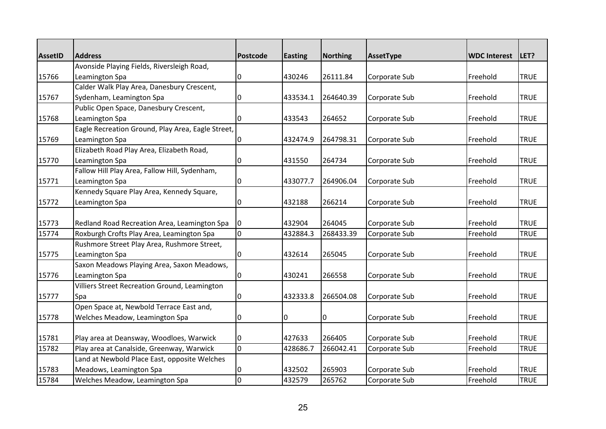| <b>AssetID</b> | <b>Address</b>                                    | <b>Postcode</b> | <b>Easting</b> | <b>Northing</b> | AssetType     | <b>WDC Interest</b> | LET?        |
|----------------|---------------------------------------------------|-----------------|----------------|-----------------|---------------|---------------------|-------------|
|                | Avonside Playing Fields, Riversleigh Road,        |                 |                |                 |               |                     |             |
| 15766          | Leamington Spa                                    | 0               | 430246         | 26111.84        | Corporate Sub | Freehold            | <b>TRUE</b> |
|                | Calder Walk Play Area, Danesbury Crescent,        |                 |                |                 |               |                     |             |
| 15767          | Sydenham, Leamington Spa                          | 0               | 433534.1       | 264640.39       | Corporate Sub | Freehold            | <b>TRUE</b> |
|                | Public Open Space, Danesbury Crescent,            |                 |                |                 |               |                     |             |
| 15768          | Leamington Spa                                    | 0               | 433543         | 264652          | Corporate Sub | Freehold            | <b>TRUE</b> |
|                | Eagle Recreation Ground, Play Area, Eagle Street, |                 |                |                 |               |                     |             |
| 15769          | Leamington Spa                                    | 0               | 432474.9       | 264798.31       | Corporate Sub | Freehold            | <b>TRUE</b> |
|                | Elizabeth Road Play Area, Elizabeth Road,         |                 |                |                 |               |                     |             |
| 15770          | Leamington Spa                                    | 0               | 431550         | 264734          | Corporate Sub | Freehold            | <b>TRUE</b> |
|                | Fallow Hill Play Area, Fallow Hill, Sydenham,     |                 |                |                 |               |                     |             |
| 15771          | Leamington Spa                                    | 0               | 433077.7       | 264906.04       | Corporate Sub | Freehold            | <b>TRUE</b> |
|                | Kennedy Square Play Area, Kennedy Square,         |                 |                |                 |               |                     |             |
| 15772          | Leamington Spa                                    | 0               | 432188         | 266214          | Corporate Sub | Freehold            | <b>TRUE</b> |
|                |                                                   |                 |                |                 |               |                     |             |
| 15773          | Redland Road Recreation Area, Leamington Spa      | I0              | 432904         | 264045          | Corporate Sub | Freehold            | <b>TRUE</b> |
| 15774          | Roxburgh Crofts Play Area, Leamington Spa         | l0              | 432884.3       | 268433.39       | Corporate Sub | Freehold            | <b>TRUE</b> |
|                | Rushmore Street Play Area, Rushmore Street,       |                 |                |                 |               |                     |             |
| 15775          | Leamington Spa                                    | 0               | 432614         | 265045          | Corporate Sub | Freehold            | <b>TRUE</b> |
|                | Saxon Meadows Playing Area, Saxon Meadows,        |                 |                |                 |               |                     |             |
| 15776          | Leamington Spa                                    | 0               | 430241         | 266558          | Corporate Sub | Freehold            | <b>TRUE</b> |
|                | Villiers Street Recreation Ground, Leamington     |                 |                |                 |               |                     |             |
| 15777          | Spa                                               | 0               | 432333.8       | 266504.08       | Corporate Sub | Freehold            | <b>TRUE</b> |
|                | Open Space at, Newbold Terrace East and,          |                 |                |                 |               |                     |             |
| 15778          | Welches Meadow, Leamington Spa                    | 0               | 0              | 0               | Corporate Sub | Freehold            | <b>TRUE</b> |
|                |                                                   |                 |                |                 |               |                     |             |
| 15781          | Play area at Deansway, Woodloes, Warwick          | 0               | 427633         | 266405          | Corporate Sub | Freehold            | <b>TRUE</b> |
| 15782          | Play area at Canalside, Greenway, Warwick         | l0              | 428686.7       | 266042.41       | Corporate Sub | Freehold            | <b>TRUE</b> |
|                | Land at Newbold Place East, opposite Welches      |                 |                |                 |               |                     |             |
| 15783          | Meadows, Leamington Spa                           | 0               | 432502         | 265903          | Corporate Sub | Freehold            | <b>TRUE</b> |
| 15784          | Welches Meadow, Leamington Spa                    | $\overline{0}$  | 432579         | 265762          | Corporate Sub | Freehold            | <b>TRUE</b> |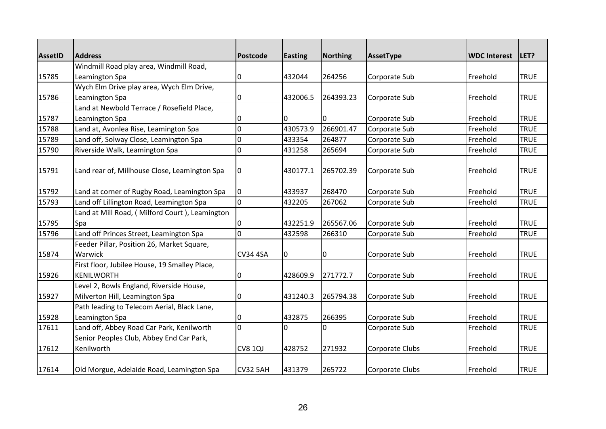| <b>AssetID</b> | <b>Address</b>                                 | <b>Postcode</b> | <b>Easting</b> | <b>Northing</b> | AssetType       | <b>WDC Interest</b> | LET?        |
|----------------|------------------------------------------------|-----------------|----------------|-----------------|-----------------|---------------------|-------------|
|                | Windmill Road play area, Windmill Road,        |                 |                |                 |                 |                     |             |
| 15785          | Leamington Spa                                 | 0               | 432044         | 264256          | Corporate Sub   | Freehold            | <b>TRUE</b> |
|                | Wych Elm Drive play area, Wych Elm Drive,      |                 |                |                 |                 |                     |             |
| 15786          | Leamington Spa                                 | 0               | 432006.5       | 264393.23       | Corporate Sub   | Freehold            | <b>TRUE</b> |
|                | Land at Newbold Terrace / Rosefield Place,     |                 |                |                 |                 |                     |             |
| 15787          | Leamington Spa                                 | 0               | 0              | 0               | Corporate Sub   | Freehold            | <b>TRUE</b> |
| 15788          | Land at, Avonlea Rise, Leamington Spa          | 0               | 430573.9       | 266901.47       | Corporate Sub   | Freehold            | <b>TRUE</b> |
| 15789          | Land off, Solway Close, Leamington Spa         | 0               | 433354         | 264877          | Corporate Sub   | Freehold            | <b>TRUE</b> |
| 15790          | Riverside Walk, Leamington Spa                 | $\overline{0}$  | 431258         | 265694          | Corporate Sub   | Freehold            | <b>TRUE</b> |
|                |                                                |                 |                |                 |                 |                     |             |
| 15791          | Land rear of, Millhouse Close, Leamington Spa  | 0               | 430177.1       | 265702.39       | Corporate Sub   | Freehold            | <b>TRUE</b> |
| 15792          | Land at corner of Rugby Road, Leamington Spa   | 0               | 433937         | 268470          | Corporate Sub   | Freehold            | <b>TRUE</b> |
| 15793          | Land off Lillington Road, Leamington Spa       | $\overline{0}$  | 432205         | 267062          | Corporate Sub   | Freehold            | <b>TRUE</b> |
|                | Land at Mill Road, (Milford Court), Leamington |                 |                |                 |                 |                     |             |
| 15795          | Spa                                            | 0               | 432251.9       | 265567.06       | Corporate Sub   | Freehold            | <b>TRUE</b> |
| 15796          | Land off Princes Street, Leamington Spa        | 0               | 432598         | 266310          | Corporate Sub   | Freehold            | <b>TRUE</b> |
|                | Feeder Pillar, Position 26, Market Square,     |                 |                |                 |                 |                     |             |
| 15874          | Warwick                                        | <b>CV34 4SA</b> | 10             | 0               | Corporate Sub   | Freehold            | <b>TRUE</b> |
|                | First floor, Jubilee House, 19 Smalley Place,  |                 |                |                 |                 |                     |             |
| 15926          | <b>KENILWORTH</b>                              | 0               | 428609.9       | 271772.7        | Corporate Sub   | Freehold            | <b>TRUE</b> |
|                | Level 2, Bowls England, Riverside House,       |                 |                |                 |                 |                     |             |
| 15927          | Milverton Hill, Leamington Spa                 | 0               | 431240.3       | 265794.38       | Corporate Sub   | Freehold            | <b>TRUE</b> |
|                | Path leading to Telecom Aerial, Black Lane,    |                 |                |                 |                 |                     |             |
| 15928          | Leamington Spa                                 | 0               | 432875         | 266395          | Corporate Sub   | Freehold            | <b>TRUE</b> |
| 17611          | Land off, Abbey Road Car Park, Kenilworth      | $\Omega$        | I٥             | 0               | Corporate Sub   | Freehold            | <b>TRUE</b> |
|                | Senior Peoples Club, Abbey End Car Park,       |                 |                |                 |                 |                     |             |
| 17612          | Kenilworth                                     | CV8 1QJ         | 428752         | 271932          | Corporate Clubs | Freehold            | <b>TRUE</b> |
| 17614          | Old Morgue, Adelaide Road, Leamington Spa      | <b>CV32 5AH</b> | 431379         | 265722          | Corporate Clubs | Freehold            | <b>TRUE</b> |